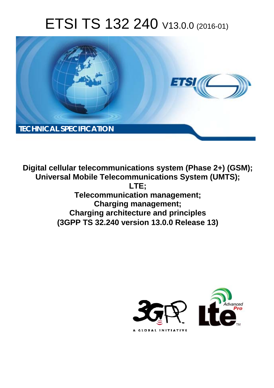# ETSI TS 132 240 V13.0.0 (2016-01)



**Digital cellular telecommunications system (Phase 2+) (GSM); Universal Mobile Tel elecommunications System ( (UMTS); Telecomm munication management; Char arging management; Charging a architecture and principles (3GPP TS 32.2 .240 version 13.0.0 Release 13 13) LTE;** 

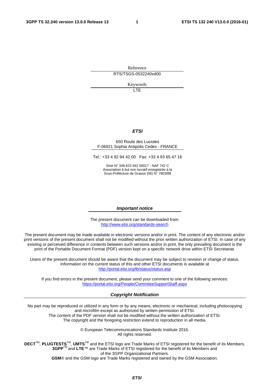Reference RTS/TSGS-0532240vd00

Keywords

**TTE** 

#### *ETSI*

#### 650 Route des Lucioles F-06921 Sophia Antipolis Cedex - FRANCE

Tel.: +33 4 92 94 42 00 Fax: +33 4 93 65 47 16

Siret N° 348 623 562 00017 - NAF 742 C Association à but non lucratif enregistrée à la Sous-Préfecture de Grasse (06) N° 7803/88

#### *Important notice*

The present document can be downloaded from: <http://www.etsi.org/standards-search>

The present document may be made available in electronic versions and/or in print. The content of any electronic and/or print versions of the present document shall not be modified without the prior written authorization of ETSI. In case of any existing or perceived difference in contents between such versions and/or in print, the only prevailing document is the print of the Portable Document Format (PDF) version kept on a specific network drive within ETSI Secretariat.

Users of the present document should be aware that the document may be subject to revision or change of status. Information on the current status of this and other ETSI documents is available at <http://portal.etsi.org/tb/status/status.asp>

If you find errors in the present document, please send your comment to one of the following services: <https://portal.etsi.org/People/CommiteeSupportStaff.aspx>

#### *Copyright Notification*

No part may be reproduced or utilized in any form or by any means, electronic or mechanical, including photocopying and microfilm except as authorized by written permission of ETSI.

The content of the PDF version shall not be modified without the written authorization of ETSI. The copyright and the foregoing restriction extend to reproduction in all media.

> © European Telecommunications Standards Institute 2016. All rights reserved.

**DECT**TM, **PLUGTESTS**TM, **UMTS**TM and the ETSI logo are Trade Marks of ETSI registered for the benefit of its Members. **3GPP**TM and **LTE**™ are Trade Marks of ETSI registered for the benefit of its Members and of the 3GPP Organizational Partners.

**GSM**® and the GSM logo are Trade Marks registered and owned by the GSM Association.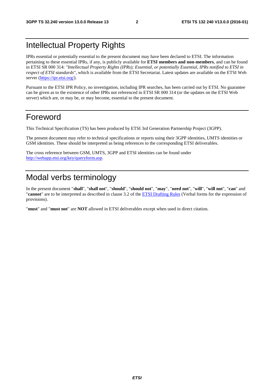## Intellectual Property Rights

IPRs essential or potentially essential to the present document may have been declared to ETSI. The information pertaining to these essential IPRs, if any, is publicly available for **ETSI members and non-members**, and can be found in ETSI SR 000 314: *"Intellectual Property Rights (IPRs); Essential, or potentially Essential, IPRs notified to ETSI in respect of ETSI standards"*, which is available from the ETSI Secretariat. Latest updates are available on the ETSI Web server [\(https://ipr.etsi.org/](https://ipr.etsi.org/)).

Pursuant to the ETSI IPR Policy, no investigation, including IPR searches, has been carried out by ETSI. No guarantee can be given as to the existence of other IPRs not referenced in ETSI SR 000 314 (or the updates on the ETSI Web server) which are, or may be, or may become, essential to the present document.

## Foreword

This Technical Specification (TS) has been produced by ETSI 3rd Generation Partnership Project (3GPP).

The present document may refer to technical specifications or reports using their 3GPP identities, UMTS identities or GSM identities. These should be interpreted as being references to the corresponding ETSI deliverables.

The cross reference between GSM, UMTS, 3GPP and ETSI identities can be found under [http://webapp.etsi.org/key/queryform.asp.](http://webapp.etsi.org/key/queryform.asp)

## Modal verbs terminology

In the present document "**shall**", "**shall not**", "**should**", "**should not**", "**may**", "**need not**", "**will**", "**will not**", "**can**" and "**cannot**" are to be interpreted as described in clause 3.2 of the [ETSI Drafting Rules](http://portal.etsi.org/Help/editHelp!/Howtostart/ETSIDraftingRules.aspx) (Verbal forms for the expression of provisions).

"**must**" and "**must not**" are **NOT** allowed in ETSI deliverables except when used in direct citation.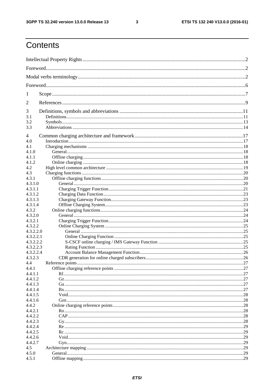$\mathbf{3}$ 

## Contents

| 1          |  |  |  |  |
|------------|--|--|--|--|
| 2          |  |  |  |  |
| 3          |  |  |  |  |
| 3.1        |  |  |  |  |
| 3.2<br>3.3 |  |  |  |  |
| 4          |  |  |  |  |
| 4.0        |  |  |  |  |
| 4.1        |  |  |  |  |
| 4.1.0      |  |  |  |  |
| 4.1.1      |  |  |  |  |
|            |  |  |  |  |
| 4.1.2      |  |  |  |  |
| 4.2        |  |  |  |  |
| 4.3        |  |  |  |  |
| 4.3.1      |  |  |  |  |
| 4.3.1.0    |  |  |  |  |
| 4.3.1.1    |  |  |  |  |
| 4.3.1.2    |  |  |  |  |
| 4.3.1.3    |  |  |  |  |
| 4.3.1.4    |  |  |  |  |
| 4.3.2      |  |  |  |  |
| 4.3.2.0    |  |  |  |  |
| 4.3.2.1    |  |  |  |  |
| 4.3.2.2    |  |  |  |  |
|            |  |  |  |  |
| 4.3.2.2.0  |  |  |  |  |
| 4.3.2.2.1  |  |  |  |  |
| 4.3.2.2.2  |  |  |  |  |
| 4.3.2.2.3  |  |  |  |  |
| 4.3.2.2.4  |  |  |  |  |
| 4.3.2.3    |  |  |  |  |
| 4.4        |  |  |  |  |
| 4.4.1      |  |  |  |  |
| 4.4.1.1    |  |  |  |  |
| 4.4.1.2    |  |  |  |  |
| 4.4.1.3    |  |  |  |  |
| 4.4.1.4    |  |  |  |  |
| 4.4.1.5    |  |  |  |  |
| 4.4.1.6    |  |  |  |  |
| 4.4.2      |  |  |  |  |
| 4.4.2.1    |  |  |  |  |
| 4.4.2.2    |  |  |  |  |
|            |  |  |  |  |
| 4.4.2.3    |  |  |  |  |
| 4.4.2.4    |  |  |  |  |
| 4.4.2.5    |  |  |  |  |
| 4.4.2.6    |  |  |  |  |
| 4.4.2.7    |  |  |  |  |
| 4.5        |  |  |  |  |
| 4.5.0      |  |  |  |  |
| 4.5.1      |  |  |  |  |
|            |  |  |  |  |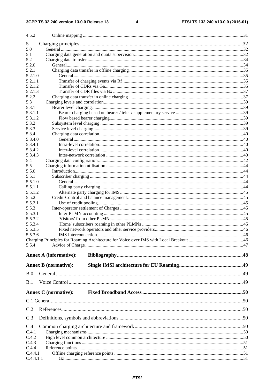#### $\overline{\mathbf{4}}$

| 4.5.2            |                               |  |
|------------------|-------------------------------|--|
| 5                |                               |  |
| 5.0              |                               |  |
| 5.1              |                               |  |
| 5.2              |                               |  |
| 5.2.0            |                               |  |
| 5.2.1            |                               |  |
| 5.2.1.0          |                               |  |
| 5.2.1.1          |                               |  |
| 5.2.1.2          |                               |  |
| 5.2.1.3          |                               |  |
| 5.2.2            |                               |  |
| 5.3              |                               |  |
| 5.3.1<br>5.3.1.1 |                               |  |
| 5.3.1.2          |                               |  |
| 5.3.2            |                               |  |
| 5.3.3            |                               |  |
| 5.3.4            |                               |  |
| 5.3.4.0          |                               |  |
| 5.3.4.1          |                               |  |
| 5.3.4.2          |                               |  |
| 5.3.4.3          |                               |  |
| 5.4              |                               |  |
| 5.5              |                               |  |
| 5.5.0            |                               |  |
| 5.5.1            |                               |  |
| 5.5.1.0          |                               |  |
| 5.5.1.1          |                               |  |
| 5.5.1.2          |                               |  |
| 5.5.2<br>5.5.2.1 |                               |  |
| 5.5.3            |                               |  |
| 5.5.3.1          |                               |  |
| 5.5.3.2          |                               |  |
| 5.5.3.4          |                               |  |
| 5.5.3.5          |                               |  |
| 5.5.3.6          |                               |  |
|                  |                               |  |
| 5.5.4            |                               |  |
|                  | <b>Annex A (informative):</b> |  |
|                  | <b>Annex B</b> (normative):   |  |
|                  |                               |  |
| B.0              |                               |  |
| B.1              |                               |  |
|                  | <b>Annex C</b> (normative):   |  |
|                  |                               |  |
|                  |                               |  |
| C.2              |                               |  |
| C.3              |                               |  |
| C.4<br>C.4.1     |                               |  |
| C.4.2            |                               |  |
| C.4.3            |                               |  |
| C.4.4            |                               |  |
| C.4.4.1          |                               |  |
| C.4.4.1.1        |                               |  |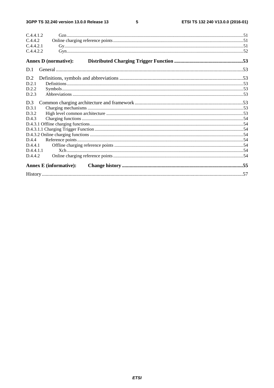#### $5\phantom{a}$

| C.4.4.1.2                     |  |
|-------------------------------|--|
| C.4.4.2                       |  |
| C.4.4.2.1                     |  |
| C.4.4.2.2                     |  |
| <b>Annex D</b> (normative):   |  |
| D.1                           |  |
| D.2                           |  |
| D.2.1                         |  |
| D.2.2                         |  |
| D.2.3                         |  |
| D.3                           |  |
| D.3.1                         |  |
| D.3.2                         |  |
| D.4.3                         |  |
|                               |  |
|                               |  |
|                               |  |
| D.4.4                         |  |
| D.4.4.1                       |  |
| D.4.4.1.1                     |  |
| D.4.4.2                       |  |
| <b>Annex E</b> (informative): |  |
|                               |  |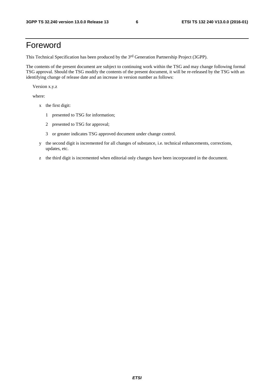## Foreword

This Technical Specification has been produced by the 3rd Generation Partnership Project (3GPP).

The contents of the present document are subject to continuing work within the TSG and may change following formal TSG approval. Should the TSG modify the contents of the present document, it will be re-released by the TSG with an identifying change of release date and an increase in version number as follows:

Version x.y.z

where:

- x the first digit:
	- 1 presented to TSG for information;
	- 2 presented to TSG for approval;
	- 3 or greater indicates TSG approved document under change control.
- y the second digit is incremented for all changes of substance, i.e. technical enhancements, corrections, updates, etc.
- z the third digit is incremented when editorial only changes have been incorporated in the document.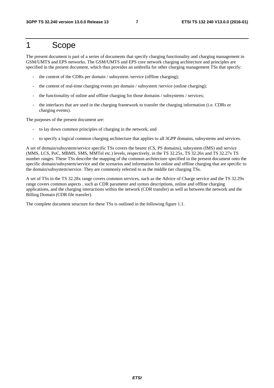## 1 Scope

The present document is part of a series of documents that specify charging functionality and charging management in GSM/UMTS and EPS networks. The GSM/UMTS and EPS core network charging architecture and principles are specified in the present document, which thus provides an umbrella for other charging management TSs that specify:

- the content of the CDRs per domain / subsystem /service (offline charging);
- the content of real-time charging events per domain / subsystem /service (online charging);
- the functionality of online and offline charging for those domains / subsystems / services;
- the interfaces that are used in the charging framework to transfer the charging information (i.e. CDRs or charging events).

The purposes of the present document are:

- to lay down common principles of charging in the network; and
- to specify a logical common charging architecture that applies to all 3GPP domains, subsystems and services.

A set of domain/subsystem/service specific TSs covers the bearer (CS, PS domains), subsystem (IMS) and service (MMS, LCS, PoC, MBMS, SMS, MMTel etc.) levels, respectively, in the TS 32.25x, TS 32.26x and TS 32.27x TS number ranges. These TSs describe the mapping of the common architecture specified in the present document onto the specific domain/subsystem/service and the scenarios and information for online and offline charging that are specific to the domain/subsystem/service. They are commonly referred to as the middle tier charging TSs.

A set of TSs in the TS 32.28x range covers common services, such as the Advice of Charge service and the TS 32.29x range covers common aspects , such as CDR parameter and syntax descriptions, online and offline charging applications, and the charging interactions within the network (CDR transfer) as well as between the network and the Billing Domain (CDR file transfer).

The complete document structure for these TSs is outlined in the following figure 1.1.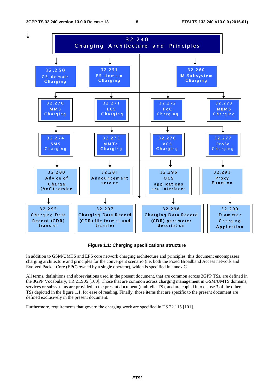

**Figure 1.1: Charging specifications structure** 

In addition to GSM/UMTS and EPS core network charging architecture and principles, this document encompasses charging architecture and principles for the convergent scenario (i.e. both the Fixed Broadband Access network and Evolved Packet Core (EPC) owned by a single operator), which is specified in annex C.

All terms, definitions and abbreviations used in the present document, that are common across 3GPP TSs, are defined in the 3GPP Vocabulary, TR 21.905 [100]. Those that are common across charging management in GSM/UMTS domains, services or subsystems are provided in the present document (umbrella TS), and are copied into clause 3 of the other TSs depicted in the figure 1.1, for ease of reading. Finally, those items that are specific to the present document are defined exclusively in the present document.

Furthermore, requirements that govern the charging work are specified in TS 22.115 [101].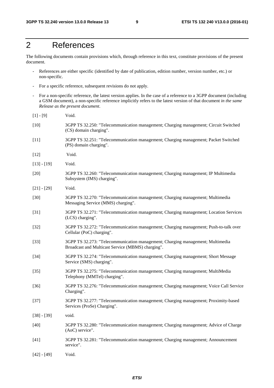## 2 References

The following documents contain provisions which, through reference in this text, constitute provisions of the present document.

- References are either specific (identified by date of publication, edition number, version number, etc.) or non-specific.
- For a specific reference, subsequent revisions do not apply.
- For a non-specific reference, the latest version applies. In the case of a reference to a 3GPP document (including a GSM document), a non-specific reference implicitly refers to the latest version of that document *in the same Release as the present document*.

| $[1] - [9]$   | Void.                                                                                                                               |
|---------------|-------------------------------------------------------------------------------------------------------------------------------------|
| $[10]$        | 3GPP TS 32.250: "Telecommunication management; Charging management; Circuit Switched<br>(CS) domain charging".                      |
| $[11]$        | 3GPP TS 32.251: "Telecommunication management; Charging management; Packet Switched<br>(PS) domain charging".                       |
| $[12]$        | Void.                                                                                                                               |
| $[13] - [19]$ | Void.                                                                                                                               |
| $[20]$        | 3GPP TS 32.260: "Telecommunication management; Charging management; IP Multimedia<br>Subsystem (IMS) charging".                     |
| $[21] - [29]$ | Void.                                                                                                                               |
| $[30]$        | 3GPP TS 32.270: "Telecommunication management; Charging management; Multimedia<br>Messaging Service (MMS) charging".                |
| $[31]$        | 3GPP TS 32.271: "Telecommunication management; Charging management; Location Services<br>(LCS) charging".                           |
| $[32]$        | 3GPP TS 32.272: "Telecommunication management; Charging management; Push-to-talk over<br>Cellular (PoC) charging".                  |
| $[33]$        | 3GPP TS 32.273: "Telecommunication management; Charging management; Multimedia<br>Broadcast and Multicast Service (MBMS) charging". |
| $[34]$        | 3GPP TS 32.274: "Telecommunication management; Charging management; Short Message<br>Service (SMS) charging".                       |
| $[35]$        | 3GPP TS 32.275: "Telecommunication management; Charging management; MultiMedia<br>Telephony (MMTel) charging".                      |
| $[36]$        | 3GPP TS 32.276: "Telecommunication management; Charging management; Voice Call Service<br>Charging".                                |
| $[37]$        | 3GPP TS 32.277: "Telecommunication management; Charging management; Proximity-based<br>Services (ProSe) Charging".                  |
| $[38] - [39]$ | void.                                                                                                                               |
| $[40]$        | 3GPP TS 32.280: "Telecommunication management; Charging management; Advice of Charge<br>(AoC) service".                             |
| $[41]$        | 3GPP TS 32.281: "Telecommunication management; Charging management; Announcement<br>service".                                       |
| $[42] - [49]$ | Void.                                                                                                                               |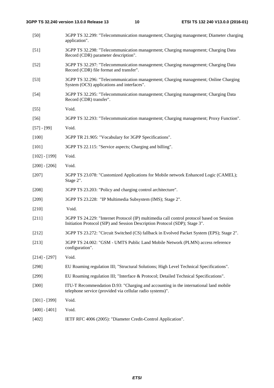- [50] 3GPP TS 32.299: "Telecommunication management; Charging management; Diameter charging application".
- [51] 3GPP TS 32.298: "Telecommunication management; Charging management; Charging Data Record (CDR) parameter description".
- [52] 3GPP TS 32.297: "Telecommunication management; Charging management; Charging Data Record (CDR) file format and transfer".
- [53] 3GPP TS 32.296: "Telecommunication management; Charging management; Online Charging System (OCS) applications and interfaces".
- [54] 3GPP TS 32.295: "Telecommunication management; Charging management; Charging Data Record (CDR) transfer".
- [55] Void.
- [56] 3GPP TS 32.293: "Telecommunication management; Charging management; Proxy Function".
- [57] [99] Void.
- [100] 3GPP TR 21.905: "Vocabulary for 3GPP Specifications".
- [101] 3GPP TS 22.115: "Service aspects; Charging and billing".
- [102] [199] Void.
- $[200] [206]$  Void.
- [207] 3GPP TS 23.078: "Customized Applications for Mobile network Enhanced Logic (CAMEL); Stage 2".
- [208] 3GPP TS 23.203: "Policy and charging control architecture".
- [209] 3GPP TS 23.228: "IP Multimedia Subsystem (IMS); Stage 2".
- [210] **Void.**
- [211] 3GPP TS 24.229: "Internet Protocol (IP) multimedia call control protocol based on Session Initiation Protocol (SIP) and Session Description Protocol (SDP); Stage 3".
- [212] 3GPP TS 23.272: "Circuit Switched (CS) fallback in Evolved Packet System (EPS); Stage 2".
- [213] 3GPP TS 24.002: "GSM UMTS Public Land Mobile Network (PLMN) access reference configuration".
- [214] [297] Void.
- [298] EU Roaming regulation III; "Structural Solutions; High Level Technical Specifications".
- [299] EU Roaming regulation III; "Interface & Protocol; Detailed Technical Specifications".
- [300] ITU-T Recommendation D.93: "Charging and accounting in the international land mobile telephone service (provided via cellular radio systems)".
- [301] [399] Void.
- $[400] [401]$  Void.
- [402] IETF RFC 4006 (2005): "Diameter Credit-Control Application".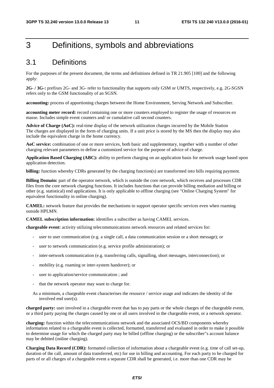## 3 Definitions, symbols and abbreviations

### 3.1 Definitions

For the purposes of the present document, the terms and definitions defined in TR 21.905 [100] and the following apply:

**2G- / 3G-:** prefixes 2G- and 3G- refer to functionality that supports only GSM or UMTS, respectively, e.g. 2G-SGSN refers only to the GSM functionality of an SGSN.

**accounting:** process of apportioning charges between the Home Environment, Serving Network and Subscriber.

**accounting meter record:** record containing one or more counters employed to register the usage of resources en masse. Includes simple event counters and/ or cumulative call second counters.

**Advice of Charge (AoC):** real-time display of the network utilization charges incurred by the Mobile Station The charges are displayed in the form of charging units. If a unit price is stored by the MS then the display may also include the equivalent charge in the home currency.

**AoC service:** combination of one or more services, both basic and supplementary, together with a number of other charging relevant parameters to define a customized service for the purpose of advice of charge.

**Application Based Charging (ABC):** ability to perform charging on an application basis for network usage based upon application detection.

**billing:** function whereby CDRs generated by the charging function(s) are transformed into bills requiring payment.

**Billing Domain:** part of the operator network, which is outside the core network, which receives and processes CDR files from the core network charging functions. It includes functions that can provide billing mediation and billing or other (e.g. statistical) end applications. It is only applicable to offline charging (see "Online Charging System" for equivalent functionality in online charging).

**CAMEL:** network feature that provides the mechanisms to support operator specific services even when roaming outside HPLMN.

**CAMEL subscription information:** identifies a subscriber as having CAMEL services.

**chargeable event:** activity utilizing telecommunications network resources and related services for:

- user to user communication (e.g. a single call, a data communication session or a short message); or
- user to network communication (e.g. service profile administration); or
- inter-network communication (e.g. transferring calls, signalling, short messages, interconnection); or
- mobility (e.g. roaming or inter-system handover); or
- user to application/service communication ; and
- that the network operator may want to charge for.
- As a minimum, a chargeable event characterises the resource / service usage and indicates the identity of the involved end user(s).

**charged party:** user involved in a chargeable event that has to pay parts or the whole charges of the chargeable event, or a third party paying the charges caused by one or all users involved in the chargeable event, or a network operator.

**charging:** function within the telecommunications network and the associated OCS/BD components whereby information related to a chargeable event is collected, formatted, transferred and evaluated in order to make it possible to determine usage for which the charged party may be billed (offline charging) or the subscriber"s account balance may be debited (online charging).

**Charging Data Record (CDR):** formatted collection of information about a chargeable event (e.g. time of call set-up, duration of the call, amount of data transferred, etc) for use in billing and accounting. For each party to be charged for parts of or all charges of a chargeable event a separate CDR shall be generated, i.e. more than one CDR may be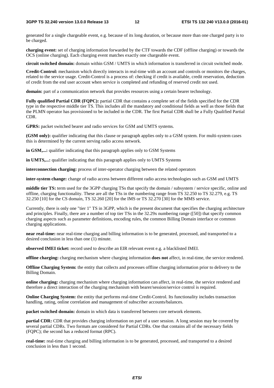generated for a single chargeable event, e.g. because of its long duration, or because more than one charged party is to be charged.

**charging event:** set of charging information forwarded by the CTF towards the CDF (offline charging) or towards the OCS (online charging). Each charging event matches exactly one chargeable event.

**circuit switched domain:** domain within GSM / UMTS in which information is transferred in circuit switched mode.

**Credit-Control:** mechanism which directly interacts in real-time with an account and controls or monitors the charges, related to the service usage. Credit-Control is a process of: checking if credit is available, credit reservation, deduction of credit from the end user account when service is completed and refunding of reserved credit not used.

**domain:** part of a communication network that provides resources using a certain bearer technology.

**Fully qualified Partial CDR (FQPC):** partial CDR that contains a complete set of the fields specified for the CDR type in the respective middle tier TS. This includes all the mandatory and conditional fields as well as those fields that the PLMN operator has provisioned to be included in the CDR. The first Partial CDR shall be a Fully Qualified Partial CDR.

GPRS: packet switched bearer and radio services for GSM and UMTS systems.

**(GSM only):** qualifier indicating that this clause or paragraph applies only to a GSM system. For multi-system cases this is determined by the current serving radio access network.

in GSM,...: qualifier indicating that this paragraph applies only to GSM Systems

in UMTS,...: qualifier indicating that this paragraph applies only to UMTS Systems

**interconnection charging:** process of inter-operator charging between the related operators

**inter-system change:** change of radio access between different radio access technologies such as GSM and UMTS

**middle tier TS:** term used for the 3GPP charging TSs that specify the domain / subsystem / service specific, online and offline, charging functionality. These are all the TSs in the numbering range from TS 32.250 to TS 32.279, e.g. TS 32.250 [10] for the CS domain, TS 32.260 [20] for the IMS or TS 32.270 [30] for the MMS service.

Currently, there is only one "tier 1" TS in 3GPP, which is the present document that specifies the charging architecture and principles. Finally, there are a number of top tier TSs in the 32.29x numbering range ([50]) that specify common charging aspects such as parameter definitions, encoding rules, the common Billing Domain interface or common charging applications.

**near real-time:** near real-time charging and billing information is to be generated, processed, and transported to a desired conclusion in less than one (1) minute.

**observed IMEI ticket:** record used to describe an EIR relevant event e.g. a blacklisted IMEI.

**offline charging:** charging mechanism where charging information **does not** affect, in real-time, the service rendered.

**Offline Charging System:** the entity that collects and processes offline charging information prior to delivery to the Billing Domain.

**online charging:** charging mechanism where charging information can affect, in real-time, the service rendered and therefore a direct interaction of the charging mechanism with bearer/session/service control is required.

**Online Charging System:** the entity that performs real-time Credit-Control. Its functionality includes transaction handling, rating, online correlation and management of subscriber accounts/balances.

**packet switched domain:** domain in which data is transferred between core network elements.

**partial CDR:** CDR that provides charging information on part of a user session. A long session may be covered by several partial CDRs. Two formats are considered for Partial CDRs. One that contains all of the necessary fields (FQPC); the second has a reduced format (RPC).

**real-time:** real-time charging and billing information is to be generated, processed, and transported to a desired conclusion in less than 1 second.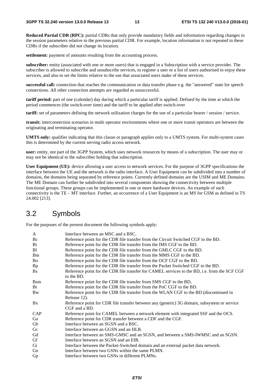**Reduced Partial CDR (RPC):** partial CDRs that only provide mandatory fields and information regarding changes in the session parameters relative to the previous partial CDR. For example, location information is not repeated in these CDRs if the subscriber did not change its location.

**settlement:** payment of amounts resulting from the accounting process.

**subscriber:** entity (associated with one or more users) that is engaged in a Subscription with a service provider. The subscriber is allowed to subscribe and unsubscribe services, to register a user or a list of users authorised to enjoy these services, and also to set the limits relative to the use that associated users make of these services.

**successful call:** connection that reaches the communication or data transfer phase e.g. the "answered" state for speech connections. All other connection attempts are regarded as unsuccessful.

**tariff period:** part of one (calendar) day during which a particular tariff is applied. Defined by the time at which the period commences (the switch-over time) and the tariff to be applied after switch-over

**tariff:** set of parameters defining the network utilization charges for the use of a particular bearer / session / service.

**transit:** interconnection scenarios in multi operator environments where one or more transit operators are between the originating and terminating operator.

**UMTS only:** qualifier indicating that this clause or paragraph applies only to a UMTS system. For multi-system cases this is determined by the current serving radio access network.

**user:** entity, not part of the 3GPP System, which uses network resources by means of a subscription. The user may or may not be identical to the subscriber holding that subscription.

**User Equipment (UE):** device allowing a user access to network services. For the purpose of 3GPP specifications the interface between the UE and the network is the radio interface. A User Equipment can be subdivided into a number of domains, the domains being separated by reference points. Currently defined domains are the USIM and ME Domains. The ME Domain can further be subdivided into several components showing the connectivity between multiple functional groups. These groups can be implemented in one or more hardware devices. An example of such connectivity is the TE – MT interface. Further, an occurrence of a User Equipment is an MS for GSM as defined in TS 24.002 [213].

## 3.2 Symbols

For the purposes of the present document the following symbols apply:

| A           | Interface between an MSC and a BSC.                                                           |
|-------------|-----------------------------------------------------------------------------------------------|
| Bc          | Reference point for the CDR file transfer from the Circuit Switched CGF to the BD.            |
| Bi          | Reference point for the CDR file transfer from the IMS CGF to the BD.                         |
| B1          | Reference point for the CDR file transfer from the GMLC CGF to the BD.                        |
| <b>Bm</b>   | Reference point for the CDR file transfer from the MMS CGF to the BD.                         |
| Bo          | Reference point for the CDR file transfer from the OCF CGF to the BD.                         |
| Bp          | Reference point for the CDR file transfer from the Packet Switched CGF to the BD.             |
| <b>Bs</b>   | Reference point for the CDR file transfer for CAMEL services to the BD, i.e. from the SCF CGF |
|             | to the BD.                                                                                    |
| <b>B</b> sm | Reference point for the CDR file transfer from SMS CGF to the BD,                             |
| Bt          | Reference point for the CDR file transfer from the PoC CGF to the BD.                         |
| <b>B</b> w  | Reference point for the CDR file transfer from the WLAN CGF to the BD (discontinued in        |
|             | Release 12).                                                                                  |
| Bx          | Reference point for CDR file transfer between any (generic) 3G domain, subsystem or service   |
|             | CGF and a BD.                                                                                 |
| CAP         | Reference point for CAMEL between a network element with integrated SSF and the OCS.          |
| Ga          | Reference point for CDR transfer between a CDF and the CGF.                                   |
| Gb          | Interface between an SGSN and a BSC.                                                          |
| Gc          | Interface between an GGSN and an HLR.                                                         |
| Gd          | Interface between an SMS-GMSC and an SGSN, and between a SMS-IWMSC and an SGSN.               |
| Gf          | Interface between an SGSN and an EIR.                                                         |
| Gi          | Interface between the Packet-Switched domain and an external packet data network.             |
| Gn          | Interface between two GSNs within the same PLMN.                                              |
| Gp          | Interface between two GSNs in different PLMNs.                                                |
|             |                                                                                               |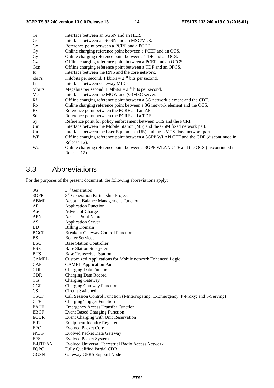| Gr        | Interface between an SGSN and an HLR.                                                 |
|-----------|---------------------------------------------------------------------------------------|
| Gs        | Interface between an SGSN and an MSC/VLR.                                             |
| Gx        | Reference point between a PCRF and a PCEF.                                            |
| <b>Gy</b> | Online charging reference point between a PCEF and an OCS.                            |
| Gyn       | Online charging reference point between a TDF and an OCS.                             |
| Gz        | Offline charging reference point between a PCEF and an OFCS.                          |
| Gzn       | Offline charging reference point between a TDF and an OFCS.                           |
| Iu        | Interface between the RNS and the core network.                                       |
| kbit/s    | Kilobits per second. 1 kbit/s = $2^{10}$ bits per second.                             |
| Lr        | Interface between Gateway MLCs.                                                       |
| Mbit/s    | Megabits per second. 1 Mbit/s = $2^{20}$ bits per second.                             |
| Mc        | Interface between the MGW and (G)MSC server.                                          |
| Rf        | Offline charging reference point between a 3G network element and the CDF.            |
| Ro        | Online charging reference point between a 3G network element and the OCS.             |
| Rx        | Reference point between the PCRF and an AF.                                           |
| Sd        | Reference point between the PCRF and a TDF.                                           |
| Sy        | Reference point for policy enforcement between OCS and the PCRF                       |
| Um        | Interface between the Mobile Station (MS) and the GSM fixed network part.             |
| Uu        | Interface between the User Equipment (UE) and the UMTS fixed network part.            |
| Wf        | Offline charging reference point between a 3GPP WLAN CTF and the CDF (discontinued in |
|           | Release 12).                                                                          |
| Wo        | Online charging reference point between a 3GPP WLAN CTF and the OCS (discontinued in  |
|           | Release 12).                                                                          |
|           |                                                                                       |

## 3.3 Abbreviations

For the purposes of the present document, the following abbreviations apply:

| 3 <sub>G</sub> | 3 <sup>rd</sup> Generation                                                           |
|----------------|--------------------------------------------------------------------------------------|
| 3GPP           | 3 <sup>rd</sup> Generation Partnership Project                                       |
| <b>ABMF</b>    | <b>Account Balance Management Function</b>                                           |
| AF             | <b>Application Function</b>                                                          |
| AoC            | Advice of Charge                                                                     |
| <b>APN</b>     | <b>Access Point Name</b>                                                             |
| AS             | <b>Application Server</b>                                                            |
| <b>BD</b>      | <b>Billing Domain</b>                                                                |
| <b>BGCF</b>    | <b>Breakout Gateway Control Function</b>                                             |
| BS             | <b>Bearer Services</b>                                                               |
| <b>BSC</b>     | <b>Base Station Controller</b>                                                       |
| <b>BSS</b>     | <b>Base Station Subsystem</b>                                                        |
| <b>BTS</b>     | <b>Base Transceiver Station</b>                                                      |
| <b>CAMEL</b>   | Customized Applications for Mobile network Enhanced Logic                            |
| CAP            | <b>CAMEL Application Part</b>                                                        |
| <b>CDF</b>     | <b>Charging Data Function</b>                                                        |
| <b>CDR</b>     | <b>Charging Data Record</b>                                                          |
| CG             | Charging Gateway                                                                     |
| CGF            | <b>Charging Gateway Function</b>                                                     |
| CS             | Circuit Switched                                                                     |
| <b>CSCF</b>    | Call Session Control Function (I-Interrogating; E-Emergency; P-Proxy; and S-Serving) |
| <b>CTF</b>     | <b>Charging Trigger Function</b>                                                     |
| <b>EATF</b>    | <b>Emergency Access Transfer Function</b>                                            |
| <b>EBCF</b>    | <b>Event Based Charging Function</b>                                                 |
| <b>ECUR</b>    | Event Charging with Unit Reservation                                                 |
| EIR            | <b>Equipment Identity Register</b>                                                   |
| <b>EPC</b>     | <b>Evolved Packet Core</b>                                                           |
| ePDG           | <b>Evolved Packet Data Gateway</b>                                                   |
| <b>EPS</b>     | <b>Evolved Packet System</b>                                                         |
| <b>E-UTRAN</b> | Evolved Universal Terrestrial Radio Access Network                                   |
| <b>FQPC</b>    | <b>Fully Qualified Partial CDR</b>                                                   |
| GGSN           | Gateway GPRS Support Node                                                            |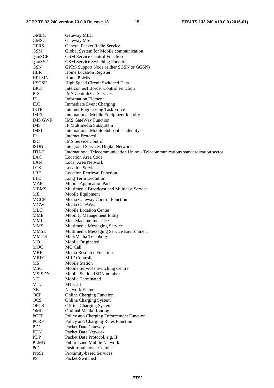| <b>GMLC</b>    | Gateway MLC                                                                       |
|----------------|-----------------------------------------------------------------------------------|
| <b>GMSC</b>    | Gateway MSC                                                                       |
| <b>GPRS</b>    | General Packet Radio Service                                                      |
| <b>GSM</b>     | Global System for Mobile communication                                            |
| gsmSCF         | <b>GSM Service Control Function</b>                                               |
| gsmSSF         | <b>GSM Service Switching Function</b>                                             |
| <b>GSN</b>     | GPRS Support Node (either SGSN or GGSN)                                           |
| <b>HLR</b>     | Home Location Register                                                            |
| <b>HPLMN</b>   | Home PLMN                                                                         |
| <b>HSCSD</b>   | High Speed Circuit Switched Data                                                  |
| <b>IBCF</b>    | <b>Interconnect Border Control Function</b>                                       |
| <b>ICS</b>     | <b>IMS</b> Centralized Services                                                   |
| IE             | <b>Information Element</b>                                                        |
| IEC            | <b>Immediate Event Charging</b>                                                   |
| <b>IETF</b>    | <b>Internet Engineering Task Force</b>                                            |
| <b>IMEI</b>    | International Mobile Equipment Identity                                           |
| <b>IMS GWF</b> | <b>IMS GateWay Function</b>                                                       |
| <b>IMS</b>     | IP Multimedia Subsystem                                                           |
| <b>IMSI</b>    | International Mobile Subscriber Identity                                          |
| IP             | <b>Internet Protocol</b>                                                          |
| <b>ISC</b>     | <b>IMS</b> Service Control                                                        |
| <b>ISDN</b>    | <b>Integrated Services Digital Network</b>                                        |
| <b>ITU-T</b>   | International Telecommunication Union - Telecommunications standardization sector |
| LAC            | <b>Location Area Code</b>                                                         |
| LAN            | Local Area Network                                                                |
| <b>LCS</b>     | <b>Location Services</b>                                                          |
| LRF            | <b>Location Retrieval Function</b>                                                |
| <b>LTE</b>     | Long Term Evolution                                                               |
| MAP            | Mobile Application Part                                                           |
| <b>MBMS</b>    | Multimedia Broadcast and Multicast Service                                        |
| МE             | Mobile Equipment                                                                  |
| <b>MGCF</b>    | Media Gateway Control Function                                                    |
| MGW            | Media GateWay                                                                     |
| MLC            | Mobile Location Center                                                            |
| MME            | <b>Mobility Management Entity</b>                                                 |
| MMI            | Man-Machine Interface                                                             |
| <b>MMS</b>     | Multimedia Messaging Service                                                      |
| <b>MMSE</b>    | Multimedia Messaging Service Environment                                          |
| MMTel          | MultiMedia Telephony                                                              |
| MO             | Mobile Originated                                                                 |
| <b>MOC</b>     | <b>MO Call</b>                                                                    |
| <b>MRF</b>     | <b>Media Resource Function</b>                                                    |
| <b>MRFC</b>    | <b>MRF</b> Controller                                                             |
| MS             | <b>Mobile Station</b>                                                             |
| <b>MSC</b>     | Mobile Services Switching Centre                                                  |
| <b>MSISDN</b>  | Mobile Station ISDN number                                                        |
| MT             | Mobile Terminated                                                                 |
| <b>MTC</b>     | MT Call                                                                           |
| NE             | Network Element                                                                   |
| OCF            | <b>Online Charging Function</b>                                                   |
| <b>OCS</b>     | <b>Online Charging System</b>                                                     |
| <b>OFCS</b>    | <b>Offline Charging System</b>                                                    |
| <b>OMR</b>     | <b>Optimal Media Routing</b>                                                      |
| PCEF           | Policy and Charging Enforcement Function                                          |
| <b>PCRF</b>    | Policy and Charging Rules Function                                                |
| PDG            | Packet Data Gateway                                                               |
| <b>PDN</b>     | Packet Data Network                                                               |
| <b>PDP</b>     | Packet Data Protocol, e.g. IP                                                     |
| <b>PLMN</b>    | <b>Public Land Mobile Network</b>                                                 |
| PoC            | Push-to-talk over Cellular                                                        |
| ProSe          | Proximity-based Services                                                          |
| <b>PS</b>      | Packet-Switched                                                                   |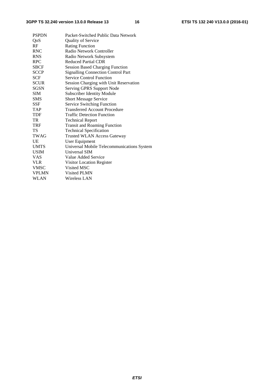| Packet-Switched Public Data Network        |
|--------------------------------------------|
| <b>Quality of Service</b>                  |
| <b>Rating Function</b>                     |
| Radio Network Controller                   |
| Radio Network Subsystem                    |
| <b>Reduced Partial CDR</b>                 |
| <b>Session Based Charging Function</b>     |
| <b>Signalling Connection Control Part</b>  |
| <b>Service Control Function</b>            |
| Session Charging with Unit Reservation     |
| Serving GPRS Support Node                  |
| <b>Subscriber Identity Module</b>          |
| <b>Short Message Service</b>               |
| Service Switching Function                 |
| <b>Transferred Account Procedure</b>       |
| <b>Traffic Detection Function</b>          |
| <b>Technical Report</b>                    |
| <b>Transit and Roaming Function</b>        |
| <b>Technical Specification</b>             |
| <b>Trusted WLAN Access Gateway</b>         |
| User Equipment                             |
| Universal Mobile Telecommunications System |
| Universal SIM                              |
| Value Added Service                        |
| Visitor Location Register                  |
| Visited MSC                                |
| Visited PLMN                               |
| Wireless LAN                               |
|                                            |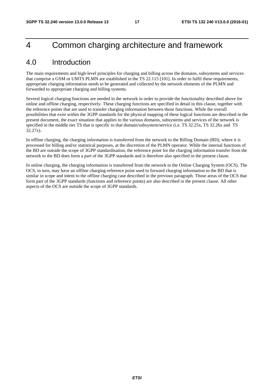## 4 Common charging architecture and framework

## 4.0 Introduction

The main requirements and high-level principles for charging and billing across the domains, subsystems and services that comprise a GSM or UMTS PLMN are established in the TS 22.115 [101]. In order to fulfil these requirements, appropriate charging information needs to be generated and collected by the network elements of the PLMN and forwarded to appropriate charging and billing systems.

Several logical charging functions are needed in the network in order to provide the functionality described above for online and offline charging, respectively. These charging functions are specified in detail in this clause, together with the reference points that are used to transfer charging information between those functions. While the overall possibilities that exist within the 3GPP standards for the physical mapping of these logical functions are described in the present document, the exact situation that applies to the various domains, subsystems and services of the network is specified in the middle tier TS that is specific to that domain/subsystem/service (i.e. TS 32.25x, TS 32.26x and TS 32.27x).

In offline charging, the charging information is transferred from the network to the Billing Domain (BD), where it is processed for billing and/or statistical purposes, at the discretion of the PLMN operator. While the internal functions of the BD are outside the scope of 3GPP standardisation, the reference point for the charging information transfer from the network to the BD does form a part of the 3GPP standards and is therefore also specified in the present clause.

In online charging, the charging information is transferred from the network to the Online Charging System (OCS). The OCS, in turn, may have an offline charging reference point used to forward charging information to the BD that is similar in scope and intent to the offline charging case described in the previous paragraph. Those areas of the OCS that form part of the 3GPP standards (functions and reference points) are also described in the present clause. All other aspects of the OCS are outside the scope of 3GPP standards.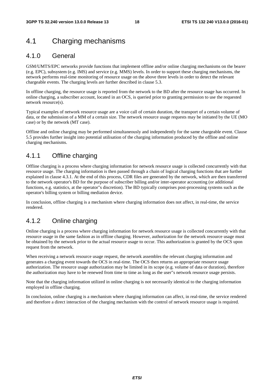## 4.1 Charging mechanisms

### 4.1.0 General

GSM/UMTS/EPC networks provide functions that implement offline and/or online charging mechanisms on the bearer (e.g. EPC), subsystem (e.g. IMS) and service (e.g. MMS) levels. In order to support these charging mechanisms, the network performs real-time monitoring of resource usage on the above three levels in order to detect the relevant chargeable events. The charging levels are further described in clause 5.3.

In offline charging, the resource usage is reported from the network to the BD after the resource usage has occurred. In online charging, a subscriber account, located in an OCS, is queried prior to granting permission to use the requested network resource(s).

Typical examples of network resource usage are a voice call of certain duration, the transport of a certain volume of data, or the submission of a MM of a certain size. The network resource usage requests may be initiated by the UE (MO case) or by the network (MT case).

Offline and online charging may be performed simultaneously and independently for the same chargeable event. Clause 5.5 provides further insight into potential utilisation of the charging information produced by the offline and online charging mechanisms.

### 4.1.1 Offline charging

Offline charging is a process where charging information for network resource usage is collected concurrently with that resource usage. The charging information is then passed through a chain of logical charging functions that are further explained in clause 4.3.1. At the end of this process, CDR files are generated by the network, which are then transferred to the network operator's BD for the purpose of subscriber billing and/or inter-operator accounting (or additional functions, e.g. statistics, at the operator"s discretion). The BD typically comprises post-processing systems such as the operator's billing system or billing mediation device.

In conclusion, offline charging is a mechanism where charging information does not affect, in real-time, the service rendered.

### 4.1.2 Online charging

Online charging is a process where charging information for network resource usage is collected concurrently with that resource usage in the same fashion as in offline charging. However, authorization for the network resource usage must be obtained by the network prior to the actual resource usage to occur. This authorization is granted by the OCS upon request from the network.

When receiving a network resource usage request, the network assembles the relevant charging information and generates a charging event towards the OCS in real-time. The OCS then returns an appropriate resource usage authorization. The resource usage authorization may be limited in its scope (e.g. volume of data or duration), therefore the authorization may have to be renewed from time to time as long as the user"s network resource usage persists.

Note that the charging information utilized in online charging is not necessarily identical to the charging information employed in offline charging.

In conclusion, online charging is a mechanism where charging information can affect, in real-time, the service rendered and therefore a direct interaction of the charging mechanism with the control of network resource usage is required.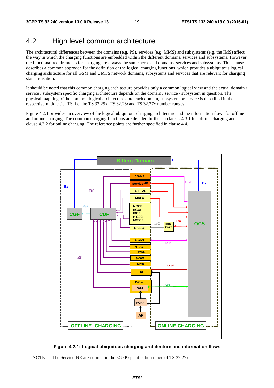## 4.2 High level common architecture

The architectural differences between the domains (e.g. PS), services (e.g. MMS) and subsystems (e.g. the IMS) affect the way in which the charging functions are embedded within the different domains, services and subsystems. However, the functional requirements for charging are always the same across all domains, services and subsystems. This clause describes a common approach for the definition of the logical charging functions, which provides a ubiquitous logical charging architecture for all GSM and UMTS network domains, subsystems and services that are relevant for charging standardisation.

It should be noted that this common charging architecture provides only a common logical view and the actual domain / service / subsystem specific charging architecture depends on the domain / service / subsystem in question. The physical mapping of the common logical architecture onto each domain, subsystem or service is described in the respective middle tier TS, i.e. the TS 32.25x, TS 32.26xand TS 32.27x number ranges.

Figure 4.2.1 provides an overview of the logical ubiquitous charging architecture and the information flows for offline and online charging. The common charging functions are detailed further in clauses 4.3.1 for offline charging and clause 4.3.2 for online charging. The reference points are further specified in clause 4.4.





NOTE: The Service-NE are defined in the 3GPP specification range of TS 32.27x.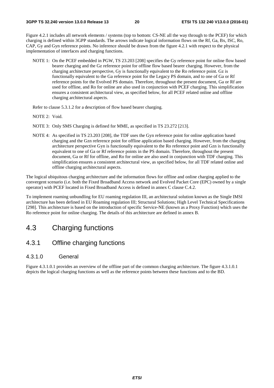Figure 4.2.1 includes all network elements / systems (top to bottom: CS-NE all the way through to the PCEF) for which charging is defined within 3GPP standards. The arrows indicate logical information flows on the Rf, Ga, Bx, ISC, Ro, CAP, Gy and Gyn reference points. No inference should be drawn from the figure 4.2.1 with respect to the physical implementation of interfaces and charging functions.

NOTE 1: On the PCEF embedded in PGW, TS 23.203 [208] specifies the Gy reference point for online flow based bearer charging and the Gz reference point for offline flow based bearer charging. However, from the charging architecture perspective, Gy is functionally equivalent to the Ro reference point. Gz is functionally equivalent to the Ga reference point for the Legacy PS domain, and to one of Ga or Rf reference points for the Evolved PS domain. Therefore, throughout the present document, Ga or Rf are used for offline, and Ro for online are also used in conjunction with PCEF charging. This simplification ensures a consistent architectural view, as specified below, for all PCEF related online and offline charging architectural aspects.

Refer to clause 5.3.1.2 for a description of flow based bearer charging.

- NOTE 2: Void.
- NOTE 3: Only SMS Charging is defined for MME, as specified in TS 23.272 [213].
- NOTE 4: As specified in TS 23.203 [208], the TDF uses the Gyn reference point for online application based charging and the Gzn reference point for offline application based charging. However, from the charging architecture perspective Gyn is functionally equivalent to the Ro reference point and Gzn is functionally equivalent to one of Ga or Rf reference points in the PS domain. Therefore, throughout the present document, Ga or Rf for offline, and Ro for online are also used in conjunction with TDF charging. This simplification ensures a consistent architectural view, as specified below, for all TDF related online and offline charging architectural aspects.

The logical ubiquitous charging architecture and the information flows for offline and online charging applied to the convergent scenario (i.e. both the Fixed Broadband Access network and Evolved Packet Core (EPC) owned by a single operator) with PCEF located in Fixed Broadband Access is defined in annex C clause C.4.2.

To implement roaming unbundling for EU roaming regulation III, an architectural solution known as the Single IMSI architecture has been defined in EU Roaming regulation III; Structural Solutions; High Level Technical Specifications [298]. This architecture is based on the introduction of specific Service-NE (known as a Proxy Function) which uses the Ro reference point for online charging. The details of this architecture are defined in annex B.

## 4.3 Charging functions

### 4.3.1 Offline charging functions

#### 4.3.1.0 General

Figure 4.3.1.0.1 provides an overview of the offline part of the common charging architecture. The figure 4.3.1.0.1 depicts the logical charging functions as well as the reference points between these functions and to the BD.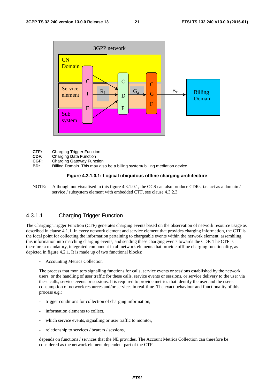

- **CTF: C**harging **T**rigger **F**unction
- **CDF: C**harging **D**ata **F**unction
- **CGF: C**harging **G**ateway **F**unction
- **BD: B**illing **D**omain. This may also be a billing system/ billing mediation device.

#### **Figure 4.3.1.0.1: Logical ubiquitous offline charging architecture**

NOTE: Although not visualised in this figure 4.3.1.0.1, the OCS can also produce CDRs, i.e. act as a domain / service / subsystem element with embedded CTF, see clause 4.3.2.3.

#### 4.3.1.1 Charging Trigger Function

The Charging Trigger Function (CTF) generates charging events based on the observation of network resource usage as described in clause 4.1.1. In every network element and service element that provides charging information, the CTF is the focal point for collecting the information pertaining to chargeable events within the network element, assembling this information into matching charging events, and sending these charging events towards the CDF. The CTF is therefore a mandatory, integrated component in all network elements that provide offline charging functionality, as depicted in figure 4.2.1. It is made up of two functional blocks:

- Accounting Metrics Collection

The process that monitors signalling functions for calls, service events or sessions established by the network users, or the handling of user traffic for these calls, service events or sessions, or service delivery to the user via these calls, service events or sessions. It is required to provide metrics that identify the user and the user's consumption of network resources and/or services in real-time. The exact behaviour and functionality of this process e.g.:

- trigger conditions for collection of charging information,
- information elements to collect.
- which service events, signalling or user traffic to monitor,
- relationship to services / bearers / sessions,

depends on functions / services that the NE provides. The Account Metrics Collection can therefore be considered as the network element dependent part of the CTF.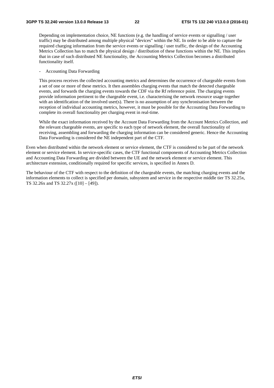Depending on implementation choice, NE functions (e.g. the handling of service events or signalling / user traffic) may be distributed among multiple physical "devices" within the NE. In order to be able to capture the required charging information from the service events or signalling / user traffic, the design of the Accounting Metrics Collection has to match the physical design / distribution of these functions within the NE. This implies that in case of such distributed NE functionality, the Accounting Metrics Collection becomes a distributed functionality itself.

- Accounting Data Forwarding

This process receives the collected accounting metrics and determines the occurrence of chargeable events from a set of one or more of these metrics. It then assembles charging events that match the detected chargeable events, and forwards the charging events towards the CDF via the Rf reference point. The charging events provide information pertinent to the chargeable event, i.e. characterising the network resource usage together with an identification of the involved user(s). There is no assumption of any synchronisation between the reception of individual accounting metrics, however, it must be possible for the Accounting Data Forwarding to complete its overall functionality per charging event in real-time.

While the exact information received by the Account Data Forwarding from the Account Metrics Collection, and the relevant chargeable events, are specific to each type of network element, the overall functionality of receiving, assembling and forwarding the charging information can be considered generic. Hence the Accounting Data Forwarding is considered the NE independent part of the CTF.

Even when distributed within the network element or service element, the CTF is considered to be part of the network element or service element. In service-specific cases, the CTF functional components of Accounting Metrics Collection and Accounting Data Forwarding are divided between the UE and the network element or service element. This architecture extension, conditionally required for specific services, is specified in Annex D.

The behaviour of the CTF with respect to the definition of the chargeable events, the matching charging events and the information elements to collect is specified per domain, subsystem and service in the respective middle tier TS 32.25x, TS 32.26x and TS 32.27x ([10] – [49]).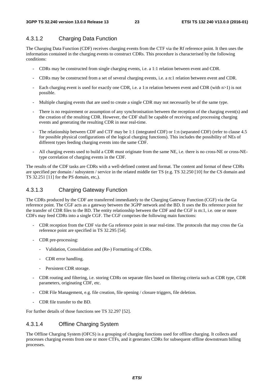#### 4.3.1.2 Charging Data Function

The Charging Data Function (CDF) receives charging events from the CTF via the Rf reference point. It then uses the information contained in the charging events to construct CDRs. This procedure is characterised by the following conditions:

- CDRs may be constructed from single charging events, i.e. a 1:1 relation between event and CDR.
- CDRs may be constructed from a set of several charging events, i.e. a n:1 relation between event and CDR.
- Each charging event is used for exactly one CDR, i.e. a 1:n relation between event and CDR (with n>1) is not possible.
- Multiple charging events that are used to create a single CDR may not necessarily be of the same type.
- There is no requirement or assumption of any synchronisation between the reception of the charging event(s) and the creation of the resulting CDR. However, the CDF shall be capable of receiving and processing charging events and generating the resulting CDR in near real-time.
- The relationship between CDF and CTF may be 1:1 (integrated CDF) or 1:n (separated CDF) (refer to clause 4.5 for possible physical configurations of the logical charging functions). This includes the possibility of NEs of different types feeding charging events into the same CDF.
- All charging events used to build a CDR must originate from the same NE, i.e. there is no cross-NE or cross-NEtype correlation of charging events in the CDF.

The results of the CDF tasks are CDRs with a well-defined content and format. The content and format of these CDRs are specified per domain / subsystem / service in the related middle tier TS (e.g. TS 32.250 [10] for the CS domain and TS 32.251 [11] for the PS domain, etc,).

#### 4.3.1.3 Charging Gateway Function

The CDRs produced by the CDF are transferred immediately to the Charging Gateway Function (CGF) via the Ga reference point. The CGF acts as a gateway between the 3GPP network and the BD. It uses the Bx reference point for the transfer of CDR files to the BD. The entity relationship between the CDF and the CGF is m:1, i.e. one or more CDFs may feed CDRs into a single CGF. The CGF comprises the following main functions:

- CDR reception from the CDF via the Ga reference point in near real-time. The protocols that may cross the Ga reference point are specified in TS 32.295 [54].
- CDR pre-processing:
	- Validation, Consolidation and (Re-) Formatting of CDRs.
	- CDR error handling.
	- Persistent CDR storage.
- CDR routing and filtering, i.e. storing CDRs on separate files based on filtering criteria such as CDR type, CDR parameters, originating CDF, etc.
- CDR File Management, e.g. file creation, file opening / closure triggers, file deletion.
- CDR file transfer to the BD.

For further details of those functions see TS 32.297 [52].

#### 4.3.1.4 Offline Charging System

The Offline Charging System (OFCS) is a grouping of charging functions used for offline charging. It collects and processes charging events from one or more CTFs, and it generates CDRs for subsequent offline downstream billing processes.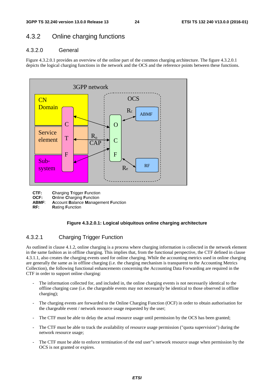### 4.3.2 Online charging functions

#### 4.3.2.0 General

Figure 4.3.2.0.1 provides an overview of the online part of the common charging architecture. The figure 4.3.2.0.1 depicts the logical charging functions in the network and the OCS and the reference points between these functions.



**CTF: C**harging **T**rigger **F**unction

**OCF:** Online Charging Function<br>**ABMF:** Account Balance Manage

**Account Balance Management Function** 

**RF: R**ating **F**unction

#### **Figure 4.3.2.0.1: Logical ubiquitous online charging architecture**

#### 4.3.2.1 Charging Trigger Function

As outlined in clause 4.1.2, online charging is a process where charging information is collected in the network element in the same fashion as in offline charging. This implies that, from the functional perspective, the CTF defined in clause 4.3.1.1, also creates the charging events used for online charging. While the accounting metrics used in online charging are generally the same as in offline charging (i.e. the charging mechanism is transparent to the Accounting Metrics Collection), the following functional enhancements concerning the Accounting Data Forwarding are required in the CTF in order to support online charging:

- The information collected for, and included in, the online charging events is not necessarily identical to the offline charging case (i.e. the chargeable events may not necessarily be identical to those observed in offline charging);
- The charging events are forwarded to the Online Charging Function (OCF) in order to obtain authorisation for the chargeable event / network resource usage requested by the user;
- The CTF must be able to delay the actual resource usage until permission by the OCS has been granted;
- The CTF must be able to track the availability of resource usage permission ("quota supervision") during the network resource usage;
- The CTF must be able to enforce termination of the end user"s network resource usage when permission by the OCS is not granted or expires.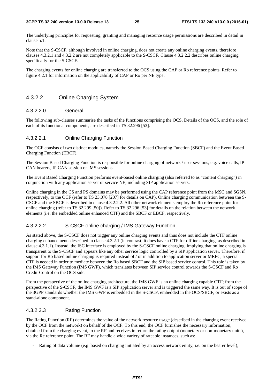The underlying principles for requesting, granting and managing resource usage permissions are described in detail in clause 5.1.

Note that the S-CSCF, although involved in online charging, does not create any online charging events, therefore clauses 4.3.2.1 and 4.3.2.2 are not completely applicable to the S-CSCF. Clause 4.3.2.2.2 describes online charging specifically for the S-CSCF.

The charging events for online charging are transferred to the OCS using the CAP or Ro reference points. Refer to figure 4.2.1 for information on the applicability of CAP or Ro per NE type.

#### 4.3.2.2 Online Charging System

#### 4.3.2.2.0 General

The following sub-clauses summarise the tasks of the functions comprising the OCS. Details of the OCS, and the role of each of its functional components, are described in TS 32.296 [53].

#### 4.3.2.2.1 Online Charging Function

The OCF consists of two distinct modules, namely the Session Based Charging Function (SBCF) and the Event Based Charging Function (EBCF).

The Session Based Charging Function is responsible for online charging of network / user sessions, e.g. voice calls, IP CAN bearers, IP CAN session or IMS sessions.

The Event Based Charging Function performs event-based online charging (also referred to as "content charging") in conjunction with any application server or service NE, including SIP application servers.

Online charging in the CS and PS domains may be performed using the CAP reference point from the MSC and SGSN, respectively, to the OCF (refer to TS 23.078 [207] for details on CAP). Online charging communication between the S-CSCF and the SBCF is described in clause 4.3.2.2.2. All other network elements employ the Ro reference point for online charging (refer to TS 32.299 [50]). Refer to TS 32.296 [53] for details on the relation between the network elements (i.e. the embedded online enhanced CTF) and the SBCF or EBCF, respectively.

#### 4.3.2.2.2 S-CSCF online charging / IMS Gateway Function

As stated above, the S-CSCF does not trigger any online charging events and thus does not include the CTF online charging enhancements described in clause 4.3.2.1 (in contrast, it does have a CTF for offline charging, as described in clause 4.3.1.1). Instead, the ISC interface is employed by the S-CSCF online charging, implying that online charging is transparent to the S-CSCF and appears like any other service logic controlled by a SIP application server. Therefore, if support for Ro based online charging is required instead of / or in addition to application server or MRFC, a special CTF is needed in order to mediate between the Ro based SBCF and the SIP based service control. This role is taken by the IMS Gateway Function (IMS GWF), which translates between SIP service control towards the S-CSCF and Ro Credit-Control on the OCS side.

From the perspective of the online charging architecture, the IMS GWF is an online charging capable CTF; from the perspective of the S-CSCF, the IMS GWF is a SIP application server and is triggered the same way. It is out of scope of the 3GPP standards whether the IMS GWF is embedded in the S-CSCF, embedded in the OCS/SBCF, or exists as a stand-alone component.

#### 4.3.2.2.3 Rating Function

The Rating Function (RF) determines the value of the network resource usage (described in the charging event received by the OCF from the network) on behalf of the OCF. To this end, the OCF furnishes the necessary information, obtained from the charging event, to the RF and receives in return the rating output (monetary or non-monetary units), via the Re reference point. The RF may handle a wide variety of rateable instances, such as:

Rating of data volume (e.g. based on charging initiated by an access network entity, i.e. on the bearer level);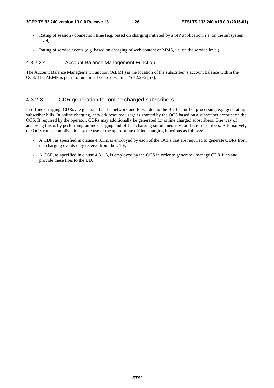- Rating of session / connection time (e.g. based on charging initiated by a SIP application, i.e. on the subsystem level);
- Rating of service events (e.g. based on charging of web content or MMS, i.e. on the service level).

#### 4.3.2.2.4 Account Balance Management Function

The Account Balance Management Function (ABMF) is the location of the subscriber"s account balance within the OCS. The ABMF is put into functional context within TS 32.296 [53].

#### 4.3.2.3 CDR generation for online charged subscribers

In offline charging, CDRs are generated in the network and forwarded to the BD for further processing, e.g. generating subscriber bills. In online charging, network resource usage is granted by the OCS based on a subscriber account on the OCS. If required by the operator, CDRs may additionally be generated for online charged subscribers. One way of achieving this is by performing online charging and offline charging simultaneously for these subscribers. Alternatively, the OCS can accomplish this by the use of the appropriate offline charging functions as follows:

- A CDF, as specified in clause 4.3.1.2, is employed by each of the OCFs that are required to generate CDRs from the charging events they receive from the CTF;
- A CGF, as specified in clause 4.3.1.3, is employed by the OCS in order to generate / manage CDR files and provide these files to the BD.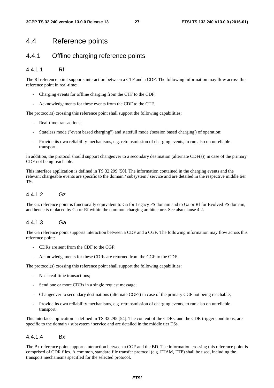### 4.4 Reference points

### 4.4.1 Offline charging reference points

#### 4.4.1.1 Rf

The Rf reference point supports interaction between a CTF and a CDF. The following information may flow across this reference point in real-time:

- Charging events for offline charging from the CTF to the CDF;
- Acknowledgements for these events from the CDF to the CTF.

The protocol(s) crossing this reference point shall support the following capabilities:

- Real-time transactions;
- Stateless mode ("event based charging") and statefull mode ('session based charging') of operation;
- Provide its own reliability mechanisms, e.g. retransmission of charging events, to run also on unreliable transport.

In addition, the protocol should support changeover to a secondary destination (alternate CDF(s)) in case of the primary CDF not being reachable.

This interface application is defined in TS 32.299 [50]. The information contained in the charging events and the relevant chargeable events are specific to the domain / subsystem / service and are detailed in the respective middle tier TSs.

#### 4412 Gz

The Gz reference point is functionally equivalent to Ga for Legacy PS domain and to Ga or Rf for Evolved PS domain, and hence is replaced by Ga or Rf within the common charging architecture. See also clause 4.2.

#### 4.4.1.3 Ga

The Ga reference point supports interaction between a CDF and a CGF. The following information may flow across this reference point:

- CDRs are sent from the CDF to the CGF;
- Acknowledgements for these CDRs are returned from the CGF to the CDF.

The protocol(s) crossing this reference point shall support the following capabilities:

- Near real-time transactions;
- Send one or more CDRs in a single request message;
- Changeover to secondary destinations (alternate CGFs) in case of the primary CGF not being reachable;
- Provide its own reliability mechanisms, e.g. retransmission of charging events, to run also on unreliable transport.

This interface application is defined in TS 32.295 [54]. The content of the CDRs, and the CDR trigger conditions, are specific to the domain / subsystem / service and are detailed in the middle tier TSs.

#### 4.4.1.4 Bx

The Bx reference point supports interaction between a CGF and the BD. The information crossing this reference point is comprised of CDR files. A common, standard file transfer protocol (e.g. FTAM, FTP) shall be used, including the transport mechanisms specified for the selected protocol.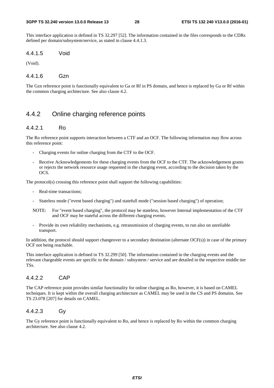This interface application is defined in TS 32.297 [52]. The information contained in the files corresponds to the CDRs defined per domain/subsystem/service, as stated in clause 4.4.1.3.

4.4.1.5 Void

(Void).

#### 4.4.1.6 Gzn

The Gzn reference point is functionally equivalent to Ga or Rf in PS domain, and hence is replaced by Ga or Rf within the common charging architecture. See also clause 4.2.

### 4.4.2 Online charging reference points

#### 4.4.2.1 Ro

The Ro reference point supports interaction between a CTF and an OCF. The following information may flow across this reference point:

- Charging events for online charging from the CTF to the OCF.
- Receive Acknowledgements for these charging events from the OCF to the CTF. The acknowledgement grants or rejects the network resource usage requested in the charging event, according to the decision taken by the OCS.

The protocol(s) crossing this reference point shall support the following capabilities:

- Real-time transactions;
- Stateless mode ("event based charging") and statefull mode ("session based charging") of operation;
- NOTE: For "event based charging", the protocol may be stateless, however Internal implementation of the CTF and OCF may be stateful across the different charging events.
- Provide its own reliability mechanisms, e.g. retransmission of charging events, to run also on unreliable transport.

In addition, the protocol should support changeover to a secondary destination (alternate OCF(s)) in case of the primary OCF not being reachable.

This interface application is defined in TS 32.299 [50]. The information contained in the charging events and the relevant chargeable events are specific to the domain / subsystem / service and are detailed in the respective middle tier TSs.

#### 4.4.2.2 CAP

The CAP reference point provides similar functionality for online charging as Ro, however, it is based on CAMEL techniques. It is kept within the overall charging architecture as CAMEL may be used in the CS and PS domains. See TS 23.078 [207] for details on CAMEL.

#### 4.4.2.3 Gy

The Gy reference point is functionally equivalent to Ro, and hence is replaced by Ro within the common charging architecture. See also clause 4.2.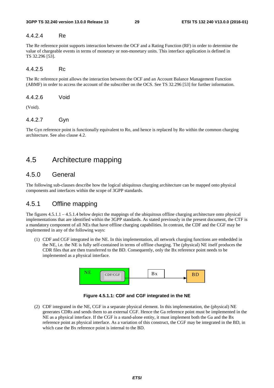#### 4.4.2.4 Re

The Re reference point supports interaction between the OCF and a Rating Function (RF) in order to determine the value of chargeable events in terms of monetary or non-monetary units. This interface application is defined in TS 32.296 [53].

#### 4.4.2.5 Rc

The Rc reference point allows the interaction between the OCF and an Account Balance Management Function (ABMF) in order to access the account of the subscriber on the OCS. See TS 32.296 [53] for further information.

4.4.2.6 Void

(Void).

#### 4.4.2.7 Gyn

The Gyn reference point is functionally equivalent to Ro, and hence is replaced by Ro within the common charging architecture. See also clause 4.2.

## 4.5 Architecture mapping

### 4.5.0 General

The following sub-clauses describe how the logical ubiquitous charging architecture can be mapped onto physical components and interfaces within the scope of 3GPP standards.

### 4.5.1 Offline mapping

The figures 4.5.1.1 – 4.5.1.4 below depict the mappings of the ubiquitous offline charging architecture onto physical implementations that are identified within the 3GPP standards. As stated previously in the present document, the CTF is a mandatory component of all NEs that have offline charging capabilities. In contrast, the CDF and the CGF may be implemented in any of the following ways:

(1) CDF and CGF integrated in the NE. In this implementation, all network charging functions are embedded in the NE, i.e. the NE is fully self-contained in terms of offline charging. The (physical) NE itself produces the CDR files that are then transferred to the BD. Consequently, only the Bx reference point needs to be implemented as a physical interface.





(2) CDF integrated in the NE, CGF in a separate physical element. In this implementation, the (physical) NE generates CDRs and sends them to an external CGF. Hence the Ga reference point must be implemented in the NE as a physical interface. If the CGF is a stand-alone entity, it must implement both the Ga and the Bx reference point as physical interface. As a variation of this construct, the CGF may be integrated in the BD, in which case the Bx reference point is internal to the BD.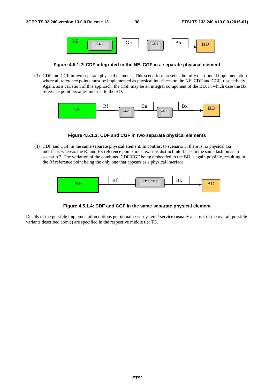

**Figure 4.5.1.2: CDF integrated in the NE, CGF in a separate physical element** 

(3) CDF and CGF in two separate physical elements. This scenario represents the fully distributed implementation where all reference points must be implemented as physical interfaces on the NE, CDF and CGF, respectively. Again, as a variation of this approach, the CGF may be an integral component of the BD, in which case the Bx reference point becomes internal to the BD.



**Figure 4.5.1.3: CDF and CGF in two separate physical elements** 

(4) CDF and CGF in the same separate physical element. In contrast to scenario 3, there is no physical Ga interface, whereas the Rf and Bx reference points must exist as distinct interfaces in the same fashion as in scenario 3. The variation of the combined CDF/CGF being embedded in the BD is again possible, resulting in the Rf reference point being the only one that appears as a physical interface.



**Figure 4.5.1.4: CDF and CGF in the same separate physical element** 

Details of the possible implementation options per domain / subsystem / service (usually a subset of the overall possible variants described above) are specified in the respective middle tier TS.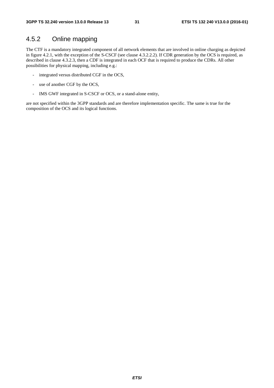### 4.5.2 Online mapping

The CTF is a mandatory integrated component of all network elements that are involved in online charging as depicted in figure 4.2.1, with the exception of the S-CSCF (see clause 4.3.2.2.2). If CDR generation by the OCS is required, as described in clause 4.3.2.3, then a CDF is integrated in each OCF that is required to produce the CDRs. All other possibilities for physical mapping, including e.g.:

- integrated versus distributed CGF in the OCS,
- use of another CGF by the OCS,
- IMS GWF integrated in S-CSCF or OCS, or a stand-alone entity,

are not specified within the 3GPP standards and are therefore implementation specific. The same is true for the composition of the OCS and its logical functions.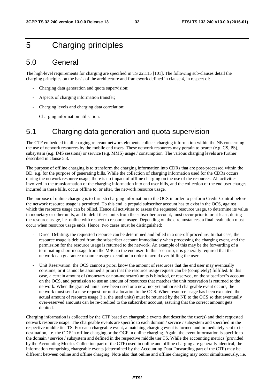## 5 Charging principles

## 5.0 General

The high-level requirements for charging are specified in TS 22.115 [101]. The following sub-clauses detail the charging principles on the basis of the architecture and framework defined in clause 4, in respect of:

- Charging data generation and quota supervision;
- Aspects of charging information transfer;
- Charging levels and charging data correlation;
- Charging information utilisation.

## 5.1 Charging data generation and quota supervision

The CTF embedded in all charging relevant network elements collects charging information within the NE concerning the use of network resources by the mobile end users. These network resources may pertain to bearer (e.g. CS, PS), subsystem (e.g. IMS sessions) or service (e.g. MMS) usage / consumption. The various charging levels are further described in clause 5.3.

The purpose of offline charging is to transform the charging information into CDRs that are post-processed within the BD, e.g. for the purpose of generating bills. While the collection of charging information used for the CDRs occurs during the network resource usage, there is no impact of offline charging on the use of the resources. All activities involved in the transformation of the charging information into end user bills, and the collection of the end user charges incurred in these bills, occur offline to, or after, the network resource usage.

The purpose of online charging is to furnish charging information to the OCS in order to perform Credit-Control before the network resource usage is permitted. To this end, a prepaid subscriber account has to exist in the OCS, against which the resource usage can be billed. Hence all activities to assess the requested resource usage, to determine its value in monetary or other units, and to debit these units from the subscriber account, must occur prior to or at least, during the resource usage, i.e. online with respect to resource usage. Depending on the circumstances, a final evaluation must occur when resource usage ends. Hence, two cases must be distinguished:

- Direct Debiting: the requested resource can be determined and billed in a one-off procedure. In that case, the resource usage is debited from the subscriber account immediately when processing the charging event, and the permission for the resource usage is returned to the network. An example of this may be the forwarding of a terminating short message from the MSC to the end user. In this scenario, it is generally required that the network can guarantee resource usage execution in order to avoid over-billing the user.
- Unit Reservation: the OCS cannot a priori know the amount of resources that the end user may eventually consume, or it cannot be assumed a priori that the resource usage request can be (completely) fulfilled. In this case, a certain amount of (monetary or non-monetary) units is blocked, or reserved, on the subscriber"s account on the OCS, and permission to use an amount of resources that matches the unit reservation is returned to the network. When the granted units have been used or a new, not yet authorised chargeable event occurs, the network must send a new request for unit allocation to the OCS. When resource usage has been executed, the actual amount of resource usage (i.e. the used units) must be returned by the NE to the OCS so that eventually over-reserved amounts can be re-credited to the subscriber account, assuring that the correct amount gets debited.

Charging information is collected by the CTF based on chargeable events that describe the user(s) and their requested network resource usage. The chargeable events are specific to each domain / service / subsystem and specified in the respective middle tier TS. For each chargeable event, a matching charging event is formed and immediately sent to its destination, i.e. the CDF in offline charging or the OCF in online charging. Again, the event information is specific to the domain / service / subsystem and defined in the respective middle tier TS. While the accounting metrics (provided by the Accounting Metrics Collection part of the CTF) used in online and offline charging are generally identical, the information comprising chargeable events (determined by the Accounting Data Forwarding part of the CTF) may be different between online and offline charging. Note also that online and offline charging may occur simultaneously, i.e.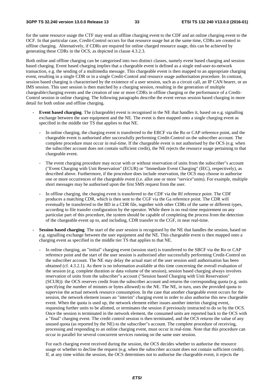for the same resource usage the CTF may send an offline charging event to the CDF and an online charging event to the OCF. In that particular case, Credit-Control occurs for that resource usage but at the same time, CDRs are created in offline charging. Alternatively, if CDRs are required for online charged resource usage, this can be achieved by generating these CDRs in the OCS, as depicted in clause 4.3.2.3.

Both online and offline charging can be categorised into two distinct classes, namely event based charging and session based charging. Event based charging implies that a chargeable event is defined as a single end-user-to-network transaction, e.g. the sending of a multimedia message. This chargeable event is then mapped to an appropriate charging event, resulting in a single CDR or in a single Credit-Control and resource usage authorisation procedure. In contrast, session based charging is characterised by the existence of a user session, such as a circuit call, an IP CAN bearer, or an IMS session. This user session is then matched by a charging session, resulting in the generation of multiple chargeable/charging events and the creation of one or more CDRs in offline charging or the performance of a Credit-Control session in online charging. The following paragraphs describe the event versus session based charging in more detail for both online and offline charging.

- **Event based charging**. The (chargeable) event is recognised in the NE that handles it, based on e.g. signalling exchange between the user equipment and the NE. The event is then mapped onto a single charging event as specified in the middle tier TS that applies to that NE.
	- In online charging, the charging event is transferred to the EBCF via the Ro or CAP reference point, and the chargeable event is authorised after successfully performing Credit-Control on the subscriber account. The complete procedure must occur in real-time. If the chargeable event is not authorised by the OCS (e.g. when the subscriber account does not contain sufficient credit), the NE rejects the resource usage pertaining to that chargeable event.
	- The event charging procedure may occur with or without reservation of units from the subscriber"s account ("Event Charging with Unit Reservation" (ECUR) or "Immediate Event Charging" (IEC), respectively), as described above. Furthermore, if the procedure does include reservation, the OCS may choose to authorise one or more occurrences of the chargeable event (i.e. allot one or more "service"units). For example, multiple short messages may be authorised upon the first SMS request from the user.
	- In offline charging, the charging event is transferred to the CDF via the Rf reference point. The CDF produces a matching CDR, which is then sent to the CGF via the Ga reference point. The CDR will eventually be transferred to the BD in a CDR file, together with other CDRs of the same or different types, according to file transfer configuration by the operator. While there is no real-time requirement on any particular part of this procedure, the system should be capable of completing the process from the detection of the chargeable event up to, and including, CDR transfer to the CGF, in near real-time.
- **Session based charging**. The start of the user session is recognised by the NE that handles the session, based on e.g. signalling exchange between the user equipment and the NE. This chargeable event is then mapped onto a charging event as specified in the middle tier TS that applies to that NE.
	- In online charging, an "initial" charging event (session start) is transferred to the SBCF via the Ro or CAP reference point and the start of the user session is authorised after successfully performing Credit-Control on the subscriber account. The NE may delay the actual start of the user session until authorisation has been obtained (cf. 4.3.2.1). As there is no information available at this time concerning the overall evaluation of the session (e.g. complete duration or data volume of the session), session based charging always involves reservation of units from the subscriber"s account ("Session based Charging with Unit Reservation" (SCUR)): the OCS reserves credit from the subscriber account and returns the corresponding quota (e.g. units specifying the number of minutes or bytes allowed) to the NE. The NE, in turn, uses the provided quota to supervise the actual network resource consumption. In the case that another chargeable event occurs for the session, the network element issues an "interim" charging event in order to also authorise this new chargeable event. When the quota is used up, the network element either issues another interim charging event, requesting further units to be allotted, or terminates the session if previously instructed to do so by the OCS. Once the session is terminated in the network element, the consumed units are reported back to the OCS with a "final" charging event. The credit control session is then terminated, and the OCS returns the value of any unused quota (as reported by the NE) to the subscriber"s account. The complete procedure of receiving, processing and responding to an online charging event, must occur in real-time. Note that this procedure can occur in parallel for several concurrent services running on the same user session.

For each charging event received during the session, the OCS decides whether to authorise the resource usage or whether to decline the request (e.g. when the subscriber account does not contain sufficient credit). If, at any time within the session, the OCS determines not to authorise the chargeable event, it rejects the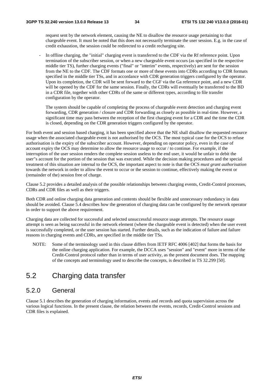request sent by the network element, causing the NE to disallow the resource usage pertaining to that chargeable event. It must be noted that this does not necessarily terminate the user session. E.g. in the case of credit exhaustion, the session could be redirected to a credit recharging site.

In offline charging, the "initial" charging event is transferred to the CDF via the Rf reference point. Upon termination of the subscriber session, or when a new chargeable event occurs (as specified in the respective middle tier TS), further charging events ("final" or "interim" events, respectively) are sent for the session from the NE to the CDF. The CDF formats one or more of these events into CDRs according to CDR formats specified in the middle tier TSs, and in accordance with CDR generation triggers configured by the operator. Upon its completion, the CDR will be sent forward to the CGF via the Ga reference point, and a new CDR will be opened by the CDF for the same session. Finally, the CDRs will eventually be transferred to the BD in a CDR file, together with other CDRs of the same or different types, according to file transfer configuration by the operator.

The system should be capable of completing the process of chargeable event detection and charging event forwarding, CDR generation / closure and CDR forwarding as closely as possible in real-time. However, a significant time may pass between the reception of the first charging event for a CDR and the time the CDR is closed, depending on the CDR generation triggers configured by the operator.

For both event and session based charging, it has been specified above that the NE shall disallow the requested resource usage when the associated chargeable event is not authorised by the OCS. The most typical case for the OCS to refuse authorisation is the expiry of the subscriber account. However, depending on operator policy, even in the case of account expiry the OCS may determine to allow the resource usage to occur / to continue. For example, if the interruption of the user session renders the complete session useless to the end user, it would be unfair to debit the user"s account for the portion of the session that was executed. While the decision making procedures and the special treatment of this situation are internal to the OCS, the important aspect to note is that the OCS *must grant authorisation* towards the network in order to allow the event to occur or the session to continue, effectively making the event or (remainder of the) session free of charge.

Clause 5.2 provides a detailed analysis of the possible relationships between charging events, Credit-Control processes, CDRs and CDR files as well as their triggers.

Both CDR and online charging data generation and contents should be flexible and unnecessary redundancy in data should be avoided. Clause 5.4 describes how the generation of charging data can be configured by the network operator in order to support the above requirement.

Charging data are collected for successful and selected unsuccessful resource usage attempts. The resource usage attempt is seen as being successful in the network element (where the chargeable event is detected) when the user event is successfully completed, or the user session has started. Further details, such as the indication of failure and failure reasons in charging events and CDRs, are specified in the middle tier TSs.

NOTE: Some of the terminology used in this clause differs from IETF RFC 4006 [402] that forms the basis for the online charging application. For example, the DCCA uses "session" and "event" more in terms of the Credit-Control protocol rather than in terms of user activity, as the present document does. The mapping of the concepts and terminology used to describe the concepts, is described in TS 32.299 [50].

## 5.2 Charging data transfer

### 5.2.0 General

Clause 5.1 describes the generation of charging information, events and records and quota supervision across the various logical functions. In the present clause, the relation between the events, records, Credit-Control sessions and CDR files is explained.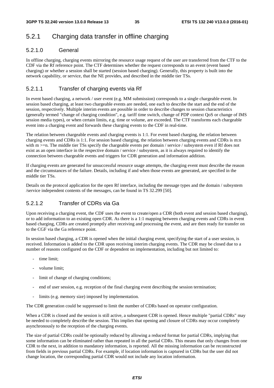## 5.2.1 Charging data transfer in offline charging

#### 5.2.1.0 General

In offline charging, charging events mirroring the resource usage request of the user are transferred from the CTF to the CDF via the Rf reference point. The CTF determines whether the request corresponds to an event (event based charging) or whether a session shall be started (session based charging). Generally, this property is built into the network capability, or service, that the NE provides, and described in the middle tier TSs.

#### 5.2.1.1 Transfer of charging events via Rf

In event based charging, a network / user event (e.g. MM submission) corresponds to a single chargeable event. In session based charging, at least two chargeable events are needed, one each to describe the start and the end of the session, respectively. Multiple interim events are possible in order to describe changes to session characteristics (generally termed "change of charging condition", e.g. tariff time switch, change of PDP context QoS or change of IMS session media types), or when certain limits, e.g. time or volume, are exceeded. The CTF transforms each chargeable event into a charging event and forwards these charging events to the CDF in real-time.

The relation between chargeable events and charging events is 1:1. For event based charging, the relation between charging events and CDRs is 1:1. For session based charging, the relation between charging events and CDRs is m:n with m  $>=$ n. The middle tier TSs specify the chargeable events per domain / service / subsystem even if Rf does not exist as an open interface in the respective domain / service / subsystem, as it is always required to identify the connection between chargeable events and triggers for CDR generation and information addition.

If charging events are generated for unsuccessful resource usage attempts, the charging event must describe the reason and the circumstances of the failure. Details, including if and when those events are generated, are specified in the middle tier TSs.

Details on the protocol application for the open Rf interface, including the message types and the domain / subsystem /service independent contents of the messages, can be found in TS 32.299 [50].

#### 5.2.1.2 Transfer of CDRs via Ga

Upon receiving a charging event, the CDF uses the event to create/open a CDR (both event and session based charging), or to add information to an existing open CDR. As there is a 1:1 mapping between charging events and CDRs in event based charging, CDRs are created promptly after receiving and processing the event, and are then ready for transfer on to the CGF via the Ga reference point.

In session based charging, a CDR is opened when the initial charging event, specifying the start of a user session, is received. Information is added to the CDR upon receiving interim charging events. The CDR may be closed due to a number of reasons configured on the CDF or dependent on implementation, including but not limited to:

- time limit:
- volume limit;
- limit of change of charging conditions;
- end of user session, e.g. reception of the final charging event describing the session termination;
- limits (e.g. memory size) imposed by implementation.

The CDR generation could be suppressed to limit the number of CDRs based on operator configuration.

When a CDR is closed and the session is still active, a subsequent CDR is opened. Hence multiple "partial CDRs" may be needed to completely describe the session. This implies that opening and closure of CDRs may occur completely asynchronously to the reception of the charging events.

The size of partial CDRs could be optionally reduced by allowing a reduced format for partial CDRs, implying that some information can be eliminated rather than repeated in all the partial CDRs. This means that only changes from one CDR to the next, in addition to mandatory information, is reported. All the missing information can be reconstructed from fields in previous partial CDRs. For example, if location information is captured in CDRs but the user did not change location, the corresponding partial CDR would not include any location information.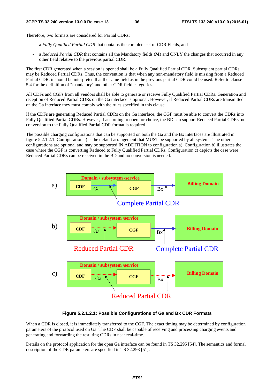Therefore, two formats are considered for Partial CDRs:

- a *Fully Qualified Partial CDR* that contains the complete set of CDR Fields, and
- a *Reduced Partial CDR* that contains all the Mandatory fields (**M**) and ONLY the changes that occurred in any other field relative to the previous partial CDR.

The first CDR generated when a session is opened shall be a Fully Qualified Partial CDR. Subsequent partial CDRs may be Reduced Partial CDRs. Thus, the convention is that when any non-mandatory field is missing from a Reduced Partial CDR, it should be interpreted that the same field as in the previous partial CDR could be used. Refer to clause 5.4 for the definition of "mandatory" and other CDR field categories.

All CDFs and CGFs from all vendors shall be able to generate or receive Fully Qualified Partial CDRs. Generation and reception of Reduced Partial CDRs on the Ga interface is optional. However, if Reduced Partial CDRs are transmitted on the Ga interface they must comply with the rules specified in this clause.

If the CDFs are generating Reduced Partial CDRs on the Ga interface, the CGF must be able to convert the CDRs into Fully Qualified Partial CDRs. However, if according to operator choice, the BD can support Reduced Partial CDRs, no conversion to the Fully Qualified Partial CDR format is required.

The possible charging configurations that can be supported on both the Ga and the Bx interfaces are illustrated in figure 5.2.1.2.1. Configuration a) is the default arrangement that MUST be supported by all systems. The other configurations are optional and may be supported IN ADDITION to configuration a). Configuration b) illustrates the case where the CGF is converting Reduced to Fully Qualified Partial CDRs. Configuration c) depicts the case were Reduced Partial CDRs can be received in the BD and no conversion is needed.



**Figure 5.2.1.2.1: Possible Configurations of Ga and Bx CDR Formats** 

When a CDR is closed, it is immediately transferred to the CGF. The exact timing may be determined by configuration parameters of the protocol used on Ga. The CDF shall be capable of receiving and processing charging events and generating and forwarding the resulting CDRs in near real-time.

Details on the protocol application for the open Ga interface can be found in TS 32.295 [54]. The semantics and formal description of the CDR parameters are specified in TS 32.298 [51].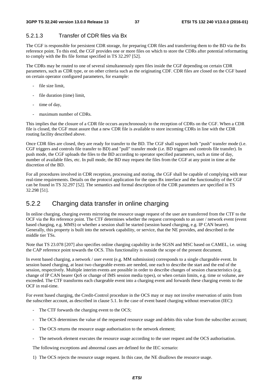### 5.2.1.3 Transfer of CDR files via Bx

The CGF is responsible for persistent CDR storage, for preparing CDR files and transferring them to the BD via the Bx reference point. To this end, the CGF provides one or more files on which to store the CDRs after potential reformatting to comply with the Bx file format specified in TS 32.297 [52].

The CDRs may be routed to one of several simultaneously open files inside the CGF depending on certain CDR parameters, such as CDR type, or on other criteria such as the originating CDF. CDR files are closed on the CGF based on certain operator configured parameters, for example:

- file size limit,
- file duration (time) limit.
- time of day,
- maximum number of CDRs.

This implies that the closure of a CDR file occurs asynchronously to the reception of CDRs on the CGF. When a CDR file is closed, the CGF must assure that a new CDR file is available to store incoming CDRs in line with the CDR routing facility described above.

Once CDR files are closed, they are ready for transfer to the BD. The CGF shall support both "push" transfer mode (i.e. CGF triggers and controls file transfer to BD) and "pull" transfer mode (i.e. BD triggers and controls file transfer). In push mode, the CGF uploads the files to the BD according to operator specified parameters, such as time of day, number of available files, etc. In pull mode, the BD may request the files from the CGF at any point in time at the discretion of the BD.

For all procedures involved in CDR reception, processing and storing, the CGF shall be capable of complying with near real-time requirements. Details on the protocol application for the open Bx interface and the functionality of the CGF can be found in TS 32.297 [52]. The semantics and formal description of the CDR parameters are specified in TS 32.298 [51].

## 5.2.2 Charging data transfer in online charging

In online charging, charging events mirroring the resource usage request of the user are transferred from the CTF to the OCF via the Ro reference point. The CTF determines whether the request corresponds to an user / network event (event based charging, e.g. MMS) or whether a session shall be started (session based charging, e.g. IP CAN bearer). Generally, this property is built into the network capability, or service, that the NE provides, and described in the middle tier TSs.

Note that TS 23.078 [207] also specifies online charging capability in the SGSN and MSC based on CAMEL, i.e. using the CAP reference point towards the OCS. This functionality is outside the scope of the present document.

In event based charging, a network / user event (e.g. MM submission) corresponds to a single chargeable event. In session based charging, at least two chargeable events are needed, one each to describe the start and the end of the session, respectively. Multiple interim events are possible in order to describe changes of session characteristics (e.g. change of IP CAN bearer QoS or change of IMS session media types), or when certain limits, e.g. time or volume, are exceeded. The CTF transforms each chargeable event into a charging event and forwards these charging events to the OCF in real-time.

For event based charging, the Credit-Control procedure in the OCS may or may not involve reservation of units from the subscriber account, as described in clause 5.1. In the case of event based charging without reservation (IEC):

- The CTF forwards the charging event to the OCS;
- The OCS determines the value of the requested resource usage and debits this value from the subscriber account;
- The OCS returns the resource usage authorisation to the network element;
- The network element executes the resource usage according to the user request and the OCS authorisation.

The following exceptions and abnormal cases are defined for the IEC scenario:

1) The OCS rejects the resource usage request. In this case, the NE disallows the resource usage.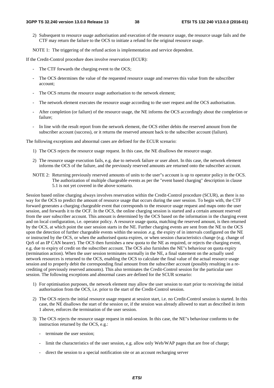2) Subsequent to resource usage authorisation and execution of the resource usage, the resource usage fails and the CTF may return the failure to the OCS to initiate a refund for the original resource usage.

NOTE 1: The triggering of the refund action is implementation and service dependent.

If the Credit-Control procedure does involve reservation (ECUR):

- The CTF forwards the charging event to the OCS;
- The OCS determines the value of the requested resource usage and reserves this value from the subscriber account;
- The OCS returns the resource usage authorisation to the network element;
- The network element executes the resource usage according to the user request and the OCS authorisation.
- After completion (or failure) of the resource usage, the NE informs the OCS accordingly about the completion or failure;
- In line with the result report from the network element, the OCS either debits the reserved amount from the subscriber account (success), or it returns the reserved amount back to the subscriber account (failure).

The following exceptions and abnormal cases are defined for the ECUR scenario:

- 1) The OCS rejects the resource usage request. In this case, the NE disallows the resource usage.
- 2) The resource usage execution fails, e.g. due to network failure or user abort. In this case, the network element informs the OCS of the failure, and the previously reserved amounts are returned onto the subscriber account.
- NOTE 2: Returning previously reserved amounts of units to the user"s account is up to operator policy in the OCS. The authorization of multiple chargeable events as per the "event based charging" description in clause 5.1 is not yet covered in the above scenario.

Session based online charging always involves reservation within the Credit-Control procedure (SCUR), as there is no way for the OCS to predict the amount of resource usage that occurs during the user session. To begin with, the CTF forward generates a charging chargeable event that corresponds to the resource usage request and maps onto the user session, and forwards it to the OCF. In the OCS, the online charging session is started and a certain amount reserved from the user subscriber account. This amount is determined by the OCS based on the information in the charging event and on local configuration, i.e. operator policy. A resource usage quota, matching the reserved amount, is then returned by the OCS, at which point the user session starts in the NE. Further charging events are sent from the NE to the OCS upon the detection of further chargeable events within the session .e.g. the expiry of in intervals configured on the NE or instructed by the OCS, or when the authorised quota expires, or when session characteristics change (e.g. change of QoS of an IP CAN bearer). The OCS then furnishes a new quota to the NE as required, or rejects the charging event, e.g. due to expiry of credit on the subscriber account. The OCS also furnishes the NE"s behaviour on quota expiry (termination action). When the user session terminates normally in the NE, a final statement on the actually used network resources is returned to the OCS, enabling the OCS to calculate the final value of the actual resource usage session and to properly debit the corresponding final amount from the subscriber account (possibly resulting in a recrediting of previously reserved amounts). This also terminates the Credit-Control session for the particular user session. The following exceptions and abnormal cases are defined for the SCUR scenario:

- 1) For optimisation purposes, the network element may allow the user session to start prior to receiving the initial authorisation from the OCS, i.e. prior to the start of the Credit-Control session.
- 2) The OCS rejects the initial resource usage request at session start, i.e. no Credit-Control session is started. In this case, the NE disallows the start of the session or, if the session was already allowed to start as described in item 1 above, enforces the termination of the user session.
- 3) The OCS rejects the resource usage request in mid-session. In this case, the NE"s behaviour conforms to the instruction returned by the OCS, e.g.:
	- terminate the user session;
	- limit the characteristics of the user session, e.g. allow only Web/WAP pages that are free of charge;
	- direct the session to a special notification site or an account recharging server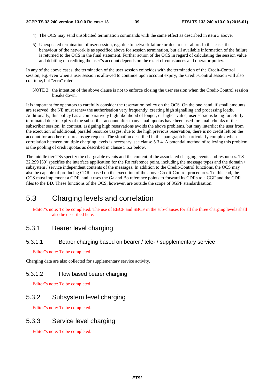- 4) The OCS may send unsolicited termination commands with the same effect as described in item 3 above.
- 5) Unexpected termination of user session, e.g. due to network failure or due to user abort. In this case, the behaviour of the network is as specified above for session termination, but all available information of the failure is returned to the OCS in the final statement. Further action of the OCS in regard of calculating the session value and debiting or crediting the user"s account depends on the exact circumstances and operator policy.

In any of the above cases, the termination of the user session coincides with the termination of the Credit-Control session, e.g. even when a user session is allowed to continue upon account expiry, the Credit-Control session will also continue, but "zero" rated.

NOTE 3: the intention of the above clause is not to enforce closing the user session when the Credit-Control session breaks down.

It is important for operators to carefully consider the reservation policy on the OCS. On the one hand, if small amounts are reserved, the NE must renew the authorisation very frequently, creating high signalling and processing loads. Additionally, this policy has a comparatively high likelihood of longer, or higher-value, user sessions being forcefully terminated due to expiry of the subscriber account after many small quotas have been used for small chunks of the subscriber session. In contrast, assigning high reservations avoids the above problems, but may interdict the user from the execution of additional, parallel resource usages: due to the high previous reservation, there is no credit left on the account for another resource usage request. The situation described in this paragraph is particularly complex when correlation between multiple charging levels is necessary, see clause 5.3.4. A potential method of relieving this problem is the pooling of credit quotas as described in clause 5.5.2 below.

The middle tier TSs specify the chargeable events and the content of the associated charging events and responses. TS 32.299 [50] specifies the interface application for the Ro reference point, including the message types and the domain / subsystem / service independent contents of the messages. In addition to the Credit-Control functions, the OCS may also be capable of producing CDRs based on the execution of the above Credit-Control procedures. To this end, the OCS must implement a CDF, and it uses the Ga and Bo reference points to forward its CDRs to a CGF and the CDR files to the BD. These functions of the OCS, however, are outside the scope of 3GPP standardisation.

## 5.3 Charging levels and correlation

Editor"s note: To be completed. The use of EBCF and SBCF in the sub-clauses for all the three charging levels shall also be described here.

## 5.3.1 Bearer level charging

#### 5.3.1.1 Bearer charging based on bearer / tele- / supplementary service

#### Editor"s note: To be completed.

Charging data are also collected for supplementary service activity.

### 5.3.1.2 Flow based bearer charging

Editor"s note: To be completed.

## 5.3.2 Subsystem level charging

Editor"s note: To be completed.

## 5.3.3 Service level charging

Editor"s note: To be completed.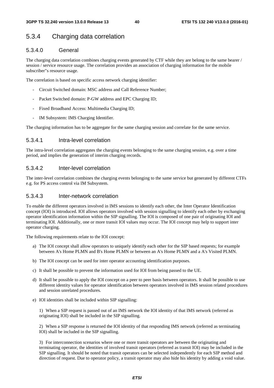### 5.3.4 Charging data correlation

#### 5.3.4.0 General

The charging data correlation combines charging events generated by CTF while they are belong to the same bearer / session / service resource usage. The correlation provides an association of charging information for the mobile subscriber"s resource usage.

The correlation is based on specific access network charging identifier:

- Circuit Switched domain: MSC address and Call Reference Number;
- Packet Switched domain: P-GW address and EPC Charging ID;
- Fixed Broadband Access: Multimedia Charging ID;
- IM Subsystem: IMS Charging Identifier.

The charging information has to be aggregate for the same charging session and correlate for the same service.

#### 5.3.4.1 Intra-level correlation

The intra-level correlation aggregates the charging events belonging to the same charging session, e.g. over a time period, and implies the generation of interim charging records.

#### 5.3.4.2 Inter-level correlation

The inter-level correlation combines the charging events belonging to the same service but generated by different CTFs e.g. for PS access control via IM Subsystem.

#### 5.3.4.3 Inter-network correlation

To enable the different operators involved in IMS sessions to identify each other, the Inter Operator Identification concept (IOI) is introduced. IOI allows operators involved with session signalling to identify each other by exchanging operator identification information within the SIP signalling. The IOI is composed of one pair of originating IOI and terminating IOI. Additionally, one or more transit IOI values may occur. The IOI concept may help to support inter operator charging.

The following requirements relate to the IOI concept:

- a) The IOI concept shall allow operators to uniquely identify each other for the SIP based requests; for example between A's Home PLMN and B's Home PLMN or between an A's Home PLMN and a A's Visited PLMN.
- b) The IOI concept can be used for inter operator accounting identification purposes.
- c) It shall be possible to prevent the information used for IOI from being passed to the UE.
- d) It shall be possible to apply the IOI concept on a peer to peer basis between operators. It shall be possible to use different identity values for operator identification between operators involved in IMS session related procedures and session unrelated procedures.
- e) IOI identities shall be included within SIP signalling:

1) When a SIP request is passed out of an IMS network the IOI identity of that IMS network (referred as originating IOI) shall be included in the SIP signalling.

2) When a SIP response is returned the IOI identity of that responding IMS network (referred as terminating IOI) shall be included in the SIP signalling.

3) For interconnection scenarios where one or more transit operators are between the originating and terminating operator, the identities of involved transit operators (referred as transit IOI) may be included in the SIP signalling. It should be noted that transit operators can be selected independently for each SIP method and direction of request. Due to operator policy, a transit operator may also hide his identity by adding a void value.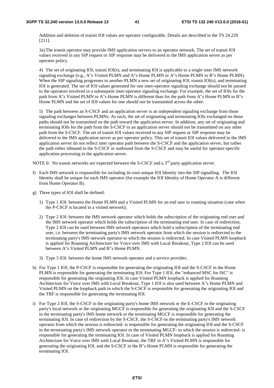Addition and deletion of transit IOI values are operator configurable. Details are described in the TS 24.229 [211].

3a) The transit operator may provide IMS application servers to an operator network. The set of transit IOI values received in any SIP request or SIP response may be delivered to the IMS application server as per operator policy.

4) The set of originating IOI, transit IOI(s), and terminating IOI is applicable to a single inter IMS network signaling exchange (e.g., A"s Visited PLMN and A"s Home PLMN or A"s Home PLMN to B"s Home PLMN). When the SIP signaling progresses to another PLMN a new set of originating IOI, transit IOI(s), and terminating IOI is generated. The set of IOI values generated for one inter-operator signaling exchange should not be passed to the operators involved in a subsequent inter-operator signaling exchange. For example, the set of IOIs for the path from A"s Visited PLMN to A"s Home PLMN is different than for the path from A"s Home PLMN to B"s Home PLMN and the set of IOI values for one should not be transmitted across the other.

5) The path between an S-CSCF and an application server is an independent signaling exchange from those signaling exchanges between PLMNs. As such, the set of originating and terminating IOIs exchanged on those paths should not be transmitted on the path toward the application server. In addition, any set of originating and terminating IOIs for the path from the S-CSCF to an application server should not be transmitted on any other path from the S-CSCF. The set of transit IOI values received in any SIP request or SIP response may be delivered to the IMS application server as per operator policy. This set of transit IOI values delivered to the IMS application server do not reflect inter operator path between the S-CSCF and the application server, but rather the path either inbound to the S-CSCF or outbound from the S-CSCF and may be useful for operator-specific application processing in the application server.

NOTE 0: No transit networks are expected between the S-CSCF and a  $3<sup>rd</sup>$  party application server.

- f) Each IMS network is responsible for including its own unique IOI Identity into the SIP signalling. The IOI Identity shall be unique for each IMS operator (for example the IOI Identity of Home Operator A is different from Home Operator B).
- g) Three types of IOI shall be defined:
	- 1) Type 1 IOI: between the Home PLMN and a Visited PLMN for an end user in roaming situation (case when the P-CSCF is located in a visited network);
	- 2) Type 2 IOI: between the IMS network operator which holds the subscription of the originating end user and the IMS network operator which holds the subscription of the terminating end user. In case of redirection, Type 2 IOI can be used between IMS network operators which hold a subscription of the terminating end user, i.e. between the terminating party's IMS network operator from which the session is redirected to the terminating party's IMS network operator to which the session is redirected. In case Visited PLMN loopback is applied for Roaming Architecture for Voice over IMS with Local Breakout, Type 2 IOI can be used between A"s Visited PLMN and B"s Home PLMN.
	- 3) Type 3 IOI: between the home IMS network operator and a service provider;
- h) For Type 1 IOI, the P-CSCF is responsible for generating the originating IOI and the S-CSCF in the Home PLMN is responsible for generating the terminating IOI; For Type 1 IOI, the "enhanced MSC for ISC" is responsible for generating the originating IOI. In case Visited PLMN loopback is applied for Roaming Architecture for Voice over IMS with Local Breakout, Type 1 IOI is also used between A"s Home PLMN and Visited PLMN on the loopback path in which the S-CSCF is responsible for generating the originating IOI and the TRF is responsible for generating the terminating IOI.
- i) For Type 2 IOI, the S-CSCF in the originating party's home IMS network or the E-CSCF in the originating party's local network or the originating MGCF is responsible for generating the originating IOI and the S-CSCF in the terminating party's IMS home network or the terminating MGCF is responsible for generating the terminating IOI. In case of redirection by the S-CSCF, the S-CSCF-in the terminating party's IMS network operator from which the session is redirected- is responsible for generating the originating IOI and the S-CSCF in the terminating party's IMS network operator or the terminating MGCF- to which the session is redirected- is responsible for generating the terminating IOI. In case of Visited PLMN loopback is applied for Roaming Architecture for Voice over IMS with Local Breakout, the TRF in A"s Visited PLMN is responsible for generating the originating IOI, and the S-CSCF in the B"s Home PLMN is responsible for generating the terminating IOI.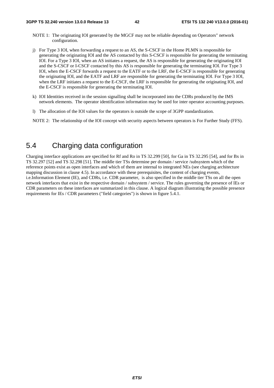- NOTE 1: The originating IOI generated by the MGCF may not be reliable depending on Operators" network configuration.
- j) For Type 3 IOI, when forwarding a request to an AS, the S-CSCF in the Home PLMN is responsible for generating the originating IOI and the AS contacted by this S-CSCF is responsible for generating the terminating IOI. For a Type 3 IOI, when an AS initiates a request, the AS is responsible for generating the originating IOI and the S-CSCF or I-CSCF contacted by this AS is responsible for generating the terminating IOI. For Type 3 IOI, when the E-CSCF forwards a request to the EATF or to the LRF, the E-CSCF is responsible for generating the originating IOI, and the EATF and LRF are responsible for generating the terminating IOI. For Type 3 IOI, when the LRF initiates a request to the E-CSCF, the LRF is responsible for generating the originating IOI, and the E-CSCF is responsible for generating the terminating IOI.
- k) IOI Identities received in the session signalling shall be incorporated into the CDRs produced by the IMS network elements. The operator identification information may be used for inter operator accounting purposes.
- l) The allocation of the IOI values for the operators is outside the scope of 3GPP standardization.

NOTE 2: The relationship of the IOI concept with security aspects between operators is For Further Study (FFS).

## 5.4 Charging data configuration

Charging interface applications are specified for Rf and Ro in TS 32.299 [50], for Ga in TS 32.295 [54], and for Bx in TS 32.297 [52] and TS 32.298 [51]. The middle tier TSs determine per domain / service /subsystem which of the reference points exist as open interfaces and which of them are internal to integrated NEs (see charging architecture mapping discussion in clause 4.5). In accordance with these prerequisites, the content of charging events, i.e.Information Element (IE), and CDRs, i.e. CDR parameter, is also specified in the middle tier TSs on all the open network interfaces that exist in the respective domain / subsystem / service. The rules governing the presence of IEs or CDR parameters on these interfaces are summarized in this clause. A logical diagram illustrating the possible presence requirements for IEs / CDR parameters ("field categories") is shown in figure 5.4.1.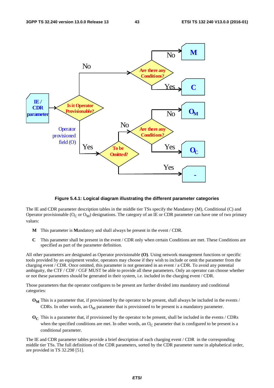

#### **Figure 5.4.1: Logical diagram illustrating the different parameter categories**

The IE and CDR parameter description tables in the middle tier TSs specify the Mandatory (M), Conditional (C) and Operator provisionable ( $O_C$  or  $O_M$ ) designations. The category of an IE or CDR parameter can have one of two primary values:

- **M** This parameter is **M**andatory and shall always be present in the event / CDR.
- **C** This parameter shall be present in the event / CDR only when certain Conditions are met. These Conditions are specified as part of the parameter definition.

All other parameters are designated as Operator provisionable **(O)**. Using network management functions or specific tools provided by an equipment vendor, operators may choose if they wish to include or omit the parameter from the charging event / CDR. Once omitted, this parameter is not generated in an event / a CDR. To avoid any potential ambiguity, the CTF / CDF / CGF MUST be able to provide all these parameters. Only an operator can choose whether or not these parameters should be generated in their system, i.e. included in the charging event / CDR.

Those parameters that the operator configures to be present are further divided into mandatory and conditional categories:

- **O<sub>M</sub>** This is a parameter that, if provisioned by the operator to be present, shall always be included in the events / CDRs. In other words, an  $O_M$  parameter that is provisioned to be present is a mandatory parameter.
- **O<sub>C</sub>** This is a parameter that, if provisioned by the operator to be present, shall be included in the events / CDRs when the specified conditions are met. In other words, an  $O<sub>C</sub>$  parameter that is configured to be present is a conditional parameter.

The IE and CDR parameter tables provide a brief description of each charging event / CDR in the corresponding middle tier TSs. The full definitions of the CDR parameters, sorted by the CDR parameter name in alphabetical order, are provided in TS 32.298 [51].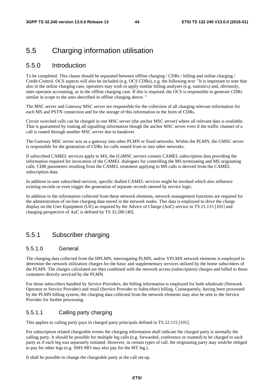## 5.5 Charging information utilisation

#### 5.5.0 Introduction

To be completed. This clause should be separated between offline charging / CDRs / billing and online charging / Credit-Control. OCS aspects will also be included (e.g. OCS CDRs), e.g. the following text: "It is important to note that also in the online charging case, operators may wish to apply similar billing analyses (e.g. statistics) and, obviously, inter-operator accounting, as in the offline charging case. If this is required, the OCS is responsible to generate CDRs similar in scope to the ones described in offline charging above. "

The MSC server and Gateway MSC server are responsible for the collection of all charging relevant information for each MS and PSTN connection and for the storage of this information in the form of CDRs.

Circuit switched calls can be charged in one MSC server (the anchor MSC server) where all relevant data is available. That is guaranteed by routing all signalling information though the anchor MSC server even if the traffic channel of a call is routed through another MSC server due to handover.

The Gateway MSC server acts as a gateway into other PLMN or fixed networks. Within the PLMN, the GMSC server is responsible for the generation of CDRs for calls routed from or into other networks.

If subscribed CAMEL services apply to MS, the (G)MSC servers contain CAMEL subscription data providing the information required for invocation of the CAMEL dialogues for controlling the MS terminating and MS originating calls. CDR parameters resulting from the CAMEL treatment applying to MS calls is derived from the CAMEL subscription data.

In addition to user subscribed services, specific dialled CAMEL services might be invoked which also influence existing records or even trigger the generation of separate records steered by service logic.

In addition to the information collected from these network elements, network management functions are required for the administration of on-line charging data stored in the network nodes. This data is employed to drive the charge display on the User Equipment (UE) as required by the Advice of Charge (AoC) service in TS 21.115 [101] and charging perspective of AoC is defined by TS 32.280 [40].

### 5.5.1 Subscriber charging

#### 5.5.1.0 General

The charging data collected from the HPLMN, interrogating PLMN, and/or VPLMN network elements is employed to determine the network utilization charges for the basic and supplementary services utilized by the home subscribers of the PLMN. The charges calculated are then combined with the network access (subscription) charges and billed to those customers directly serviced by the PLMN.

For those subscribers handled by Service Providers, the billing information is employed for both wholesale (Network Operator to Service Provider) and retail (Service Provider to Subscriber) billing. Consequently, having been processed by the PLMN billing system, the charging data collected from the network elements may also be sent to the Service Provider for further processing.

#### 5.5.1.1 Calling party charging

This applies to calling party pays in charged party principals defined in TS 22.115 [101].

For subscription related chargeable events the charging information shall indicate the charged party is normally the calling party. It should be possible for multiple leg calls (e.g. forwarded, conference or roamed) to be charged to each party as if each leg was separately initiated. However, in certain types of call, the originating party may wish/be obliged to pay for other legs (e.g. SMS MO may also pay for the MT leg.).

It shall be possible to change the chargeable party at the call set-up.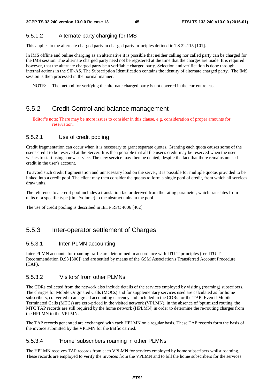### 5.5.1.2 Alternate party charging for IMS

This applies to the alternate charged party in charged party principles defined in TS 22.115 [101].

In IMS offline and online charging as an alternative it is possible that neither calling nor called party can be charged for the IMS session. The alternate charged party need not be registered at the time that the charges are made. It is required however, that the alternate charged party be a verifiable charged party. Selection and verification is done through internal actions in the SIP-AS. The Subscription Identification contains the identity of alternate charged party. The IMS session is then processed in the normal manner.

NOTE: The method for verifying the alternate charged party is not covered in the current release.

## 5.5.2 Credit-Control and balance management

Editor"s note: There may be more issues to consider in this clause, e.g. consideration of proper amounts for reservation.

### 5.5.2.1 Use of credit pooling

Credit fragmentation can occur when it is necessary to grant separate quotas. Granting each quota causes some of the user's credit to be reserved at the Server. It is then possible that all the user's credit may be reserved when the user wishes to start using a new service. The new service may then be denied, despite the fact that there remains unused credit in the user's account.

To avoid such credit fragmentation and unnecessary load on the server, it is possible for multiple quotas provided to be linked into a credit pool. The client may then consider the quotas to form a single pool of credit, from which all services draw units.

The reference to a credit pool includes a translation factor derived from the rating parameter, which translates from units of a specific type (time/volume) to the abstract units in the pool.

The use of credit pooling is described in IETF RFC 4006 [402].

## 5.5.3 Inter-operator settlement of Charges

### 5.5.3.1 Inter-PLMN accounting

Inter-PLMN accounts for roaming traffic are determined in accordance with ITU-T principles (see ITU-T Recommendation D.93 [300]) and are settled by means of the GSM Association's Transferred Account Procedure (TAP).

#### 5.5.3.2 'Visitors' from other PLMNs

The CDRs collected from the network also include details of the services employed by visiting (roaming) subscribers. The charges for Mobile Originated Calls (MOCs) and for supplementary services used are calculated as for home subscribers, converted to an agreed accounting currency and included in the CDRs for the TAP. Even if Mobile Terminated Calls (MTCs) are zero-priced in the visited network (VPLMN), in the absence of 'optimized routing' the MTC TAP records are still required by the home network (HPLMN) in order to determine the re-routing charges from the HPLMN to the VPLMN.

The TAP records generated are exchanged with each HPLMN on a regular basis. These TAP records form the basis of the invoice submitted by the VPLMN for the traffic carried.

### 5.5.3.4 'Home' subscribers roaming in other PLMNs

The HPLMN receives TAP records from each VPLMN for services employed by home subscribers whilst roaming. These records are employed to verify the invoices from the VPLMN and to bill the home subscribers for the services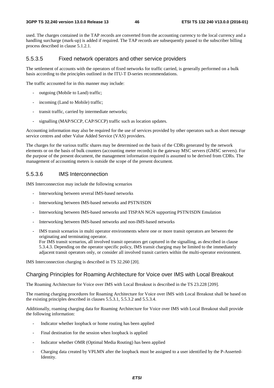used. The charges contained in the TAP records are converted from the accounting currency to the local currency and a handling surcharge (mark-up) is added if required. The TAP records are subsequently passed to the subscriber billing process described in clause 5.1.2.1.

#### 5.5.3.5 Fixed network operators and other service providers

The settlement of accounts with the operators of fixed networks for traffic carried, is generally performed on a bulk basis according to the principles outlined in the ITU-T D-series recommendations.

The traffic accounted for in this manner may include:

- outgoing (Mobile to Land) traffic;
- incoming (Land to Mobile) traffic;
- transit traffic, carried by intermediate networks;
- signalling (MAP/SCCP, CAP/SCCP) traffic such as location updates.

Accounting information may also be required for the use of services provided by other operators such as short message service centres and other Value Added Service (VAS) providers.

The charges for the various traffic shares may be determined on the basis of the CDRs generated by the network elements or on the basis of bulk counters (accounting meter records) in the gateway MSC servers (GMSC servers). For the purpose of the present document, the management information required is assumed to be derived from CDRs. The management of accounting meters is outside the scope of the present document.

#### 5.5.3.6 IMS Interconnection

IMS Interconnection may include the following scenarios

- Interworking between several IMS-based networks
- Interworking between IMS-based networks and PSTN/ISDN
- Interworking between IMS-based networks and TISPAN NGN supporting PSTN/ISDN Emulation
- Interworking between IMS-based networks and non-IMS-based networks
- IMS transit scenarios in multi operator environments where one or more transit operators are between the originating and terminating operator.

For IMS transit scenarios, all involved transit operators get captured in the signalling, as described in clause 5.3.4.3. Depending on the operator specific policy, IMS transit charging may be limited to the immediately adjacent transit operators only, or consider all involved transit carriers within the multi-operator environment.

IMS Interconnection charging is described in TS 32.260 [20].

#### Charging Principles for Roaming Architecture for Voice over IMS with Local Breakout

The Roaming Architecture for Voice over IMS with Local Breakout is described in the TS 23.228 [209].

The roaming charging procedures for Roaming Architecture for Voice over IMS with Local Breakout shall be based on the existing principles described in clauses 5.5.3.1, 5.5.3.2 and 5.5.3.4.

Additionally, roaming charging data for Roaming Architecture for Voice over IMS with Local Breakout shall provide the following information:

- Indicator whether loopback or home routing has been applied
- Final destination for the session when loopback is applied
- Indicator whether OMR (Optimal Media Routing) has been applied
- Charging data created by VPLMN after the loopback must be assigned to a user identified by the P-Asserted-Identity.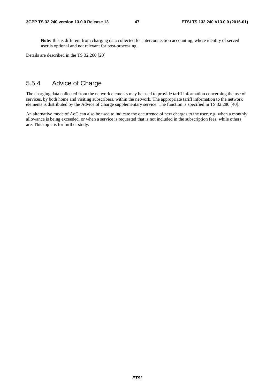**Note:** this is different from charging data collected for interconnection accounting, where identity of served user is optional and not relevant for post-processing.

Details are described in the TS 32.260 [20]

### 5.5.4 Advice of Charge

The charging data collected from the network elements may be used to provide tariff information concerning the use of services, by both home and visiting subscribers, within the network. The appropriate tariff information to the network elements is distributed by the Advice of Charge supplementary service. The function is specified in TS 32.280 [40].

An alternative mode of AoC can also be used to indicate the occurrence of new charges to the user, e.g. when a monthly allowance is being exceeded, or when a service is requested that is not included in the subscription fees, while others are. This topic is for further study.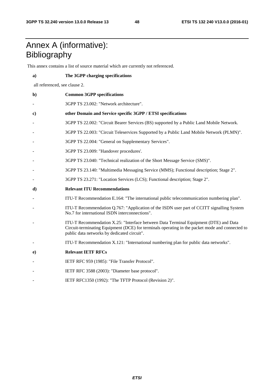## Annex A (informative): Bibliography

This annex contains a list of source material which are currently not referenced.

- **a) The 3GPP charging specifications**  all referenced, see clause 2. **b) Common 3GPP specifications**  - 3GPP TS 23.002: "Network architecture". **c) other Domain and Service specific 3GPP / ETSI specifications**  - 3GPP TS 22.002: "Circuit Bearer Services (BS) supported by a Public Land Mobile Network. - 3GPP TS 22.003: "Circuit Teleservices Supported by a Public Land Mobile Network (PLMN)". 3GPP TS 22.004: "General on Supplementary Services". 3GPP TS 23.009: "Handover procedures'. - 3GPP TS 23.040: "Technical realization of the Short Message Service (SMS)". - 3GPP TS 23.140: "Multimedia Messaging Service (MMS); Functional description; Stage 2". - 3GPP TS 23.271: "Location Services (LCS); Functional description; Stage 2". **d) Relevant ITU Recommendations**  - ITU-T Recommendation E.164: "The international public telecommunication numbering plan". - ITU-T Recommendation Q.767: "Application of the ISDN user part of CCITT signalling System No.7 for international ISDN interconnections". ITU-T Recommendation X.25: "Interface between Data Terminal Equipment (DTE) and Data Circuit-terminating Equipment (DCE) for terminals operating in the packet mode and connected to public data networks by dedicated circuit". - ITU-T Recommendation X.121: "International numbering plan for public data networks". **e) Relevant IETF RFCs**  IETF RFC 959 (1985): "File Transfer Protocol". IETF RFC 3588 (2003): "Diameter base protocol".
- IETF RFC1350 (1992): "The TFTP Protocol (Revision 2)".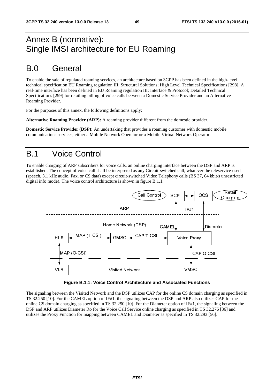## Annex B (normative): Single IMSI architecture for EU Roaming

## B.0 General

To enable the sale of regulated roaming services, an architecture based on 3GPP has been defined in the high-level technical specification EU Roaming regulation III; Structural Solutions; High Level Technical Specifications [298]. A real-time interface has been defined in EU Roaming regulation III; Interface & Protocol; Detailed Technical Specifications [299] for retailing billing of voice calls between a Domestic Service Provider and an Alternative Roaming Provider.

For the purposes of this annex, the following definitions apply:

**Alternative Roaming Provider (ARP):** A roaming provider different from the domestic provider.

**Domestic Service Provider (DSP):** An undertaking that provides a roaming customer with domestic mobile communications services, either a Mobile Network Operator or a Mobile Virtual Network Operator.

## B.1 Voice Control

To enable charging of ARP subscribers for voice calls, an online charging interface between the DSP and ARP is established. The concept of voice call shall be interpreted as any Circuit-switched call, whatever the teleservice used (speech, 3.1 kHz audio, Fax, or CS data) except circuit-switched Video Telephony calls (BS 37, 64 kbit/s unrestricted digital info mode). The voice control architecture is shown in figure B.1.1.



**Figure B.1.1: Voice Control Architecture and Associated Functions** 

The signaling between the Visited Network and the DSP utilizes CAP for the online CS domain charging as specified in TS 32.250 [10]. For the CAMEL option of IF#1, the signaling between the DSP and ARP also utilizes CAP for the online CS domain charging as specified in TS 32.250 [10]. For the Diameter option of IF#1, the signaling between the DSP and ARP utilizes Diameter Ro for the Voice Call Service online charging as specified in TS 32.276 [36] and utilizes the Proxy Function for mapping between CAMEL and Diameter as specified in TS 32.293 [56].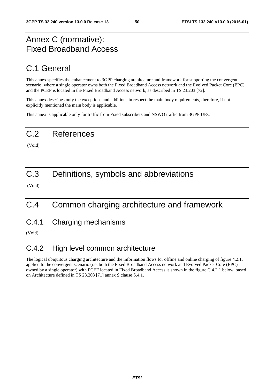## Annex C (normative): Fixed Broadband Access

## C.1 General

This annex specifies the enhancement to 3GPP charging architecture and framework for supporting the convergent scenario, where a single operator owns both the Fixed Broadband Access network and the Evolved Packet Core (EPC), and the PCEF is located in the Fixed Broadband Access network, as described in TS 23.203 [72].

This annex describes only the exceptions and additions in respect the main body requirements, therefore, if not explicitly mentioned the main body is applicable.

This annex is applicable only for traffic from Fixed subscribers and NSWO traffic from 3GPP UEs.

## C.2 References

(Void)

## C.3 Definitions, symbols and abbreviations

(Void)

## C.4 Common charging architecture and framework

C.4.1 Charging mechanisms

(Void)

## C.4.2 High level common architecture

The logical ubiquitous charging architecture and the information flows for offline and online charging of figure 4.2.1, applied to the convergent scenario (i.e. both the Fixed Broadband Access network and Evolved Packet Core (EPC) owned by a single operator) with PCEF located in Fixed Broadband Access is shown in the figure C.4.2.1 below, based on Architecture defined in TS 23.203 [71] annex S clause S.4.1.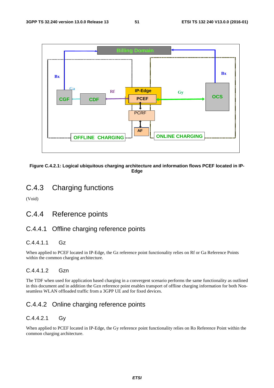



## C.4.3 Charging functions

(Void)

### C.4.4 Reference points

### C.4.4.1 Offline charging reference points

#### C.4.4.1.1 Gz

When applied to PCEF located in IP-Edge, the Gz reference point functionality relies on Rf or Ga Reference Points within the common charging architecture.

#### C.4.4.1.2 Gzn

The TDF when used for application based charging in a convergent scenario performs the same functionality as outlined in this document and in addition the Gzn reference point enables transport of offline charging information for both Nonseamless WLAN offloaded traffic from a 3GPP UE and for fixed devices.

### C.4.4.2 Online charging reference points

### C.4.4.2.1 Gy

When applied to PCEF located in IP-Edge, the Gy reference point functionality relies on Ro Reference Point within the common charging architecture.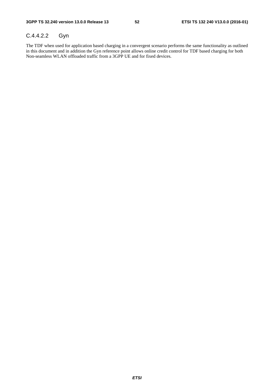#### C.4.4.2.2 Gyn

The TDF when used for application based charging in a convergent scenario performs the same functionality as outlined in this document and in addition the Gyn reference point allows online credit control for TDF based charging for both Non-seamless WLAN offloaded traffic from a 3GPP UE and for fixed devices.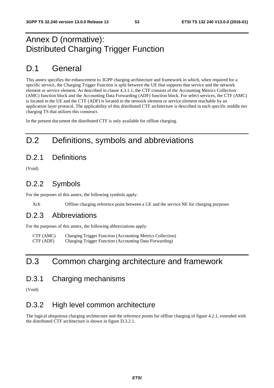## Annex D (normative): Distributed Charging Trigger Function

## D.1 General

This annex specifies the enhancement to 3GPP charging architecture and framework in which, when required for a specific service, the Charging Trigger Function is split between the UE that supports that service and the network element or service element. As described in clause 4.3.1.1, the CTF consists of the Accounting Metrics Collection (AMC) function block and the Accounting Data Forwarding (ADF) function block. For select services, the CTF (AMC) is located in the UE and the CTF (ADF) is located in the network element or service element reachable by an application layer protocol. The applicability of this distributed CTF architecture is described in each specific middle tier charging TS that utilizes this construct.

In the present document the distributed CTF is only available for offline charging.

## D.2 Definitions, symbols and abbreviations

## D.2.1 Definitions

(Void)

## D.2.2 Symbols

For the purposes of this annex, the following symbols apply:

Xch Offline charging reference point between a UE and the service NE for charging purposes

### D.2.3 Abbreviations

For the purposes of this annex, the following abbreviations apply:

CTF (AMC) Charging Trigger Function (Accounting Metrics Collection)<br>CTF (ADF) Charging Trigger Function (Accounting Data Forwarding) Charging Trigger Function (Accounting Data Forwarding)

## D.3 Common charging architecture and framework

### D.3.1 Charging mechanisms

(Void)

## D.3.2 High level common architecture

The logical ubiquitous charging architecture and the reference points for offline charging of figure 4.2.1, extended with the distributed CTF architecture is shown in figure D.3.2.1.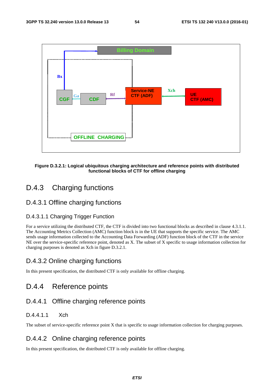

#### **Figure D.3.2.1: Logical ubiquitous charging architecture and reference points with distributed functional blocks of CTF for offline charging**

## D.4.3 Charging functions

#### D.4.3.1 Offline charging functions

#### D.4.3.1.1 Charging Trigger Function

For a service utilizing the distributed CTF, the CTF is divided into two functional blocks as described in clause 4.3.1.1. The Accounting Metrics Collection (AMC) function block is in the UE that supports the specific service. The AMC sends usage information collected to the Accounting Data Forwarding (ADF) function block of the CTF in the service NE over the service-specific reference point, denoted as X. The subset of X specific to usage information collection for charging purposes is denoted as Xch in figure D.3.2.1.

### D.4.3.2 Online charging functions

In this present specification, the distributed CTF is only available for offline charging.

### D.4.4 Reference points

### D.4.4.1 Offline charging reference points

### D.4.4.1.1 Xch

The subset of service-specific reference point X that is specific to usage information collection for charging purposes.

#### D.4.4.2 Online charging reference points

In this present specification, the distributed CTF is only available for offline charging.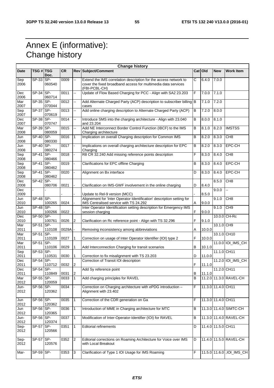## Annex E (informative): Change history

|                     |                  |                  |              |                    | <b>Change history</b>                                                                                                                              |        |         |                    |                            |
|---------------------|------------------|------------------|--------------|--------------------|----------------------------------------------------------------------------------------------------------------------------------------------------|--------|---------|--------------------|----------------------------|
| <b>Date</b>         | TSG # TSG        | Doc.             | <b>CR</b>    |                    | Rev Subject/Comment                                                                                                                                |        | Cat Old | <b>New</b>         | <b>Work Item</b>           |
| Sep<br>2006         | $SP-33$ SP-      | 060540           | 0009         | Щ,                 | Extend the IMS correlation description for the access network to<br>cover the fixed broadband access for multimedia data services<br>(FBI-PCBL-CH) | Ć      | 6.4.0   | 7.0.0              |                            |
| Dec<br>2006         | $SP-34$ SP-      | 060714           | 0011         | ш,                 | Update of Flow Based Charging for PCC - Align with SA2 23.203                                                                                      | F      | 7.0.0   | 7.1.0              |                            |
| Mar<br>2007         | $SP-35$ SP-      | 070044           | 0012         | ш.                 | Add Alternate Charged Party (ACP) description to subscriber billing B<br>cases                                                                     |        | 7.1.0   | 7.2.0              |                            |
| Sep<br>2007         | SP-37            | ISP-<br>070619   | 0013         | Щ,                 | Add online charging description to Alternate Charged Party (ACP)                                                                                   | B      | 7.2.0   | 8.0.0              |                            |
| Dec<br>2007         | SP-38 SP-        |                  | 0014         | ш,                 | Introduce SMS into the charging architecture - Align with 23.040                                                                                   | B      | 8.0.0   | 8.1.0              |                            |
| Mar                 | $SP-39$ SP-      | 070747           | 0015         | ш,                 | and 23.204<br>Add NE Interconnect Border Control Function (IBCF) to the IMS                                                                        | в      | 8.1.0   | 8.2.0              | <b>IMSTSS</b>              |
| 2008<br>Jun         | $SP-40$ SP-      | 080059           | 0016         | 1                  | Charging architecture<br>Implication on overall Charging description for Common IMS                                                                | B      | 8.2.0   | 8.3.0              | CH <sub>8</sub>            |
| 2008<br>Jun         | $SP-40$ SP-      | 080330           | 0017         |                    | Implications on overall charging architecture description for EPC                                                                                  | в      | 8.2.0   | 8.3.0              | EPC-CH                     |
| 2008<br>Sep         | SP-41            | 080274<br>$SP-$  | 0018         |                    | Charging<br>R8 CR 32.240 Add missing reference points description                                                                                  | F      | 8.3.0   | 8.4.0              | CH <sub>8</sub>            |
| 2008<br>Sep<br>2008 | SP-41 SP-        | 080466<br>080462 | 0019         |                    | <b>Clarifications for EPC offline Charging</b>                                                                                                     | B      | 8.3.0   | 8.4.0              | <b>EPC-CH</b>              |
| Sep<br>2008         | $SP-41$ SP-      | 080462           | 0020         |                    | Alignment on Bx interface                                                                                                                          | D      | 8.3.0   | 8.4.0              | <b>EPC-CH</b>              |
| Dec<br>2008         | $SP-42$ SP-      | 080706           | 0021         |                    | Clarification on IMS-GWF involvement in the online charging                                                                                        | D      | 8.4.0   | 8.5.0              | CH <sub>8</sub>            |
| Dec<br>2009         |                  |                  |              |                    | Update to Rel-9 version (MCC)                                                                                                                      |        | 8.5.0   | 9.0.0              | --                         |
| Jun<br>2010         | $SP-48$ SP-      | 100265           | 0024         |                    | Alignement for 'Inter Operator Identification' description setting for<br>IMS Centralised service with TS 24.292                                   | A      | 9.0.0   | 9.1.0              | CH8                        |
| Jun<br>2010         | <b>SP-48 SP-</b> | 100266           | 0022         |                    | Inter Operator Identification setting description for Emergency IMS<br>session charging                                                            | F      | 9.0.0   | 9.1.0              | CH9                        |
| Dec<br>2010         | $SP-50$ SP-      | 100761           | 0026         | 2                  | Clarification on Rc reference point - Align with TS 32.296                                                                                         | F      | 9.1.0   |                    | 10.0.0 CH-Rc               |
| Mar<br>2011         | $SP-51$ SP-      |                  | 0029A        |                    |                                                                                                                                                    |        | 10.0.0  | 10.1.0 CH9         |                            |
| Mar                 | SP-51 SP-        | 110108           |              |                    | Removing inconsistency among abbreviations                                                                                                         | Α<br>F |         | 10.1.0 CH10        |                            |
| 2011<br>Mar         | SP-51            | 110109<br>ISP-   | 0027         |                    | Correction on usage of Inter Operator Identifier (IOI) type 2                                                                                      |        | 10.0.0  |                    | 11.0.0 IOI_IMS_CH          |
| 2011<br>Sep         | SP-53 SP-        | 110106           | 0029         |                    | Add Interconnection Charging for transit scenarios                                                                                                 | B      | 10.1.0  | 11.1.0 CH11        |                            |
| 2011<br>Dec         | SP-54 SP-        | 110531           | 0030         | 1                  | Correction to fix misalignment with TS 23.203<br>Correction of Transit IOI description                                                             | D      | 11.0.0  |                    | 11.2.0 IOI_IMS_CH          |
| 2011<br>Dec         | $SP-54$ SP-      | 110712           | 0032         | 2                  | Add Sy reference point                                                                                                                             | F      | 11.1.0  | 11.2.0 CH11        |                            |
| 2011<br>Mar         | $SP-55$ SP-      | 110849           | 0031<br>0033 | 2 <br>$\mathbf{1}$ | Add charging principles for RAVEL                                                                                                                  | В<br>B | 11.1.0  |                    | 11.2.0 11.3.0 RAVEL-CH     |
| 2012<br>Jun-        | SP-56 SP-        | 120059           | 0034         |                    | Correction on Charging architecture with ePDG introduction -                                                                                       | F      |         | 11.3.0 11.4.0 CH11 |                            |
| 2012                |                  | 120362           |              |                    | Alignment with 23.402                                                                                                                              |        |         |                    |                            |
| Jun<br>2012         | SP-56 SP-        | 120362           | 0035         | 1                  | Correction of the CDR generation on Ga                                                                                                             | F      |         | 11.3.0 11.4.0 CH11 |                            |
| Jun<br>2012         | SP-56 SP-        | 120365           | 0036         | 1                  | Introduction of MME in Charging architecture for MTC                                                                                               | В      |         |                    | 11.3.0 11.4.0 SIMTC-CH     |
| Jun-<br>2012        | SP-56 SP-        | 120374           | 0037         | 1                  | Modification of Inter-Operator-Identifier (IOI) for RAVEL                                                                                          | B      |         |                    | 11.3.0 11.4.0 RAVEL-CH     |
| Sep-<br>2012        | $SP-57$ SP-      | 120566           | 0351         | 1                  | <b>Editorial refinements</b>                                                                                                                       | D      |         | 11.4.0 11.5.0 CH11 |                            |
| Sep-<br>2012        | SP-57 SP-        | 120576           | 0352         | 2                  | Editorial corrections on Roaming Architecture for Voice over IMS<br>with Local Breakout                                                            | D      |         |                    | 11.4.0 11.5.0 RAVEL-CH     |
| Mar-                | $SP-59$ SP-      |                  | 0353         | 3                  | Clarification of Type 1 IOI Usage for IMS Roaming                                                                                                  | F      |         |                    | 11.5.0 11.6.0 , IOI_IMS_CH |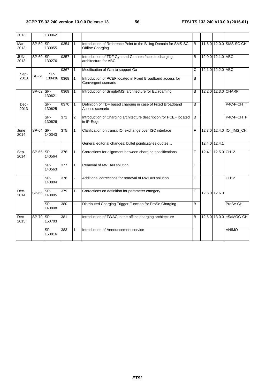| 2013         |           | 130062          |                  |              |                                                                                      |                |                    |                          |
|--------------|-----------|-----------------|------------------|--------------|--------------------------------------------------------------------------------------|----------------|--------------------|--------------------------|
| Mar<br>2013  | $SP-59$   | SP-<br>130055   | 0354             | $\mathbf{1}$ | Introduction of Reference Point to the Billing Domain for SMS-SC<br>Offline Charging | В              |                    | 11.6.0 12.0.0 SMS-SC-CH  |
| JUN-<br>2013 | SP-60 SP- | 130276          | 0357             | 1            | Introduction of TDF Gyn and Gzn interfaces in charging<br>architecture for ABC       | в              | 12.0.0 12.1.0 ABC  |                          |
| Sep-         |           | SP-             | 0367             | 1            | Modification of Gzn to support Ga                                                    | Ć              | 12.1.0 12.2.0 ABC  |                          |
| 2013         | SP-61     | 130436          | 0368             | $\mathbf{1}$ | Introduction of PCEF located in Fixed Broadband access for<br>Convergent scenario    | B              |                    |                          |
|              | SP-62 SP- | 130621          | 0369             | 1            | Introduction of SimgleIMSI architecture for EU roaming                               | B              |                    | 12.2.0 12.3.0 CHARP      |
| Dec-<br>2013 |           | SP-<br>130625   | 0370             | $\mathbf{1}$ | Definition of TDF based charging in case of Fixed Broadband<br>Access scenario       | $\overline{B}$ |                    | P4C-F-CH_T               |
|              |           | $SP-$<br>130626 | 371              | 2            | Introduction of Charging architecture description for PCEF located<br>in IP-Edge     | B              |                    | P4C-F-CH_P               |
| June<br>2014 | SP-64 SP- | 140343          | 375              |              | Clarification on transit IOI exchange over ISC interface                             | F              |                    | 12.3.0 12.4.0 IOI_IMS_CH |
|              |           |                 |                  |              | General editorial changes: bullet points, styles, quotes                             |                | 12.4.0 12.4.1      |                          |
| Sep-<br>2014 | $SP-65$   | SP-<br>140564   | 376              | 1            | Corrections for alignment between charging specifications                            | F              | 12.4.1 12.5.0 CH12 |                          |
|              |           | SP-<br>140563   | 377              | 1            | Removal of I-WLAN solution                                                           | F              |                    |                          |
|              |           | $SP-$<br>140804 | 378              |              | Additional corrections for removal of I-WLAN solution                                | F              |                    | <b>CH12</b>              |
| Dec-<br>2014 | SP-66     | $SP-$<br>140805 | $\overline{379}$ | 1            | Corrections on definition for parameter category                                     | F              | 12.5.0 12.6.0      |                          |
|              |           | SP-<br>140808   | 380              |              | Distributed Charging Trigger Function for ProSe Charging                             | В              |                    | ProSe-CH                 |
| Dec<br>2015  | SP-70 SP- | 150703          | 381              |              | Introduction of TWAG in the offline charging architecture                            | B              |                    | 12.6.0 13.0.0 eSaMOG-CH  |
|              |           | $SP-$<br>150816 | 383              |              | Introduction of Announcement service                                                 |                |                    | <b>ANIMO</b>             |